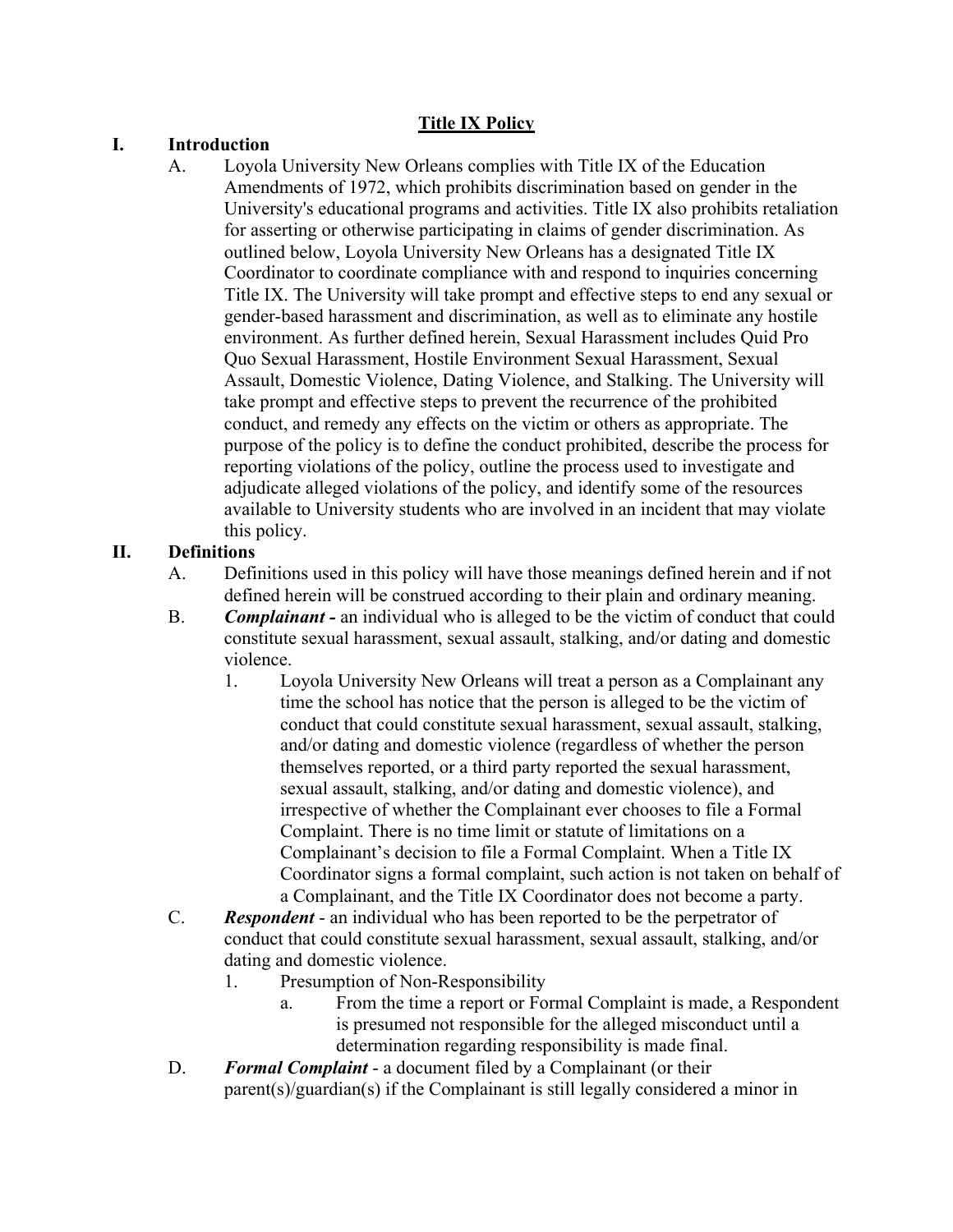### **Title IX Policy**

### **I. Introduction**

A. Loyola University New Orleans complies with Title IX of the Education Amendments of 1972, which prohibits discrimination based on gender in the University's educational programs and activities. Title IX also prohibits retaliation for asserting or otherwise participating in claims of gender discrimination. As outlined below, Loyola University New Orleans has a designated Title IX Coordinator to coordinate compliance with and respond to inquiries concerning Title IX. The University will take prompt and effective steps to end any sexual or gender-based harassment and discrimination, as well as to eliminate any hostile environment. As further defined herein, Sexual Harassment includes Quid Pro Quo Sexual Harassment, Hostile Environment Sexual Harassment, Sexual Assault, Domestic Violence, Dating Violence, and Stalking. The University will take prompt and effective steps to prevent the recurrence of the prohibited conduct, and remedy any effects on the victim or others as appropriate. The purpose of the policy is to define the conduct prohibited, describe the process for reporting violations of the policy, outline the process used to investigate and adjudicate alleged violations of the policy, and identify some of the resources available to University students who are involved in an incident that may violate this policy.

### **II. Definitions**

- A. Definitions used in this policy will have those meanings defined herein and if not defined herein will be construed according to their plain and ordinary meaning.
- B. *Complainant -* an individual who is alleged to be the victim of conduct that could constitute sexual harassment, sexual assault, stalking, and/or dating and domestic violence.
	- 1. Loyola University New Orleans will treat a person as a Complainant any time the school has notice that the person is alleged to be the victim of conduct that could constitute sexual harassment, sexual assault, stalking, and/or dating and domestic violence (regardless of whether the person themselves reported, or a third party reported the sexual harassment, sexual assault, stalking, and/or dating and domestic violence), and irrespective of whether the Complainant ever chooses to file a Formal Complaint. There is no time limit or statute of limitations on a Complainant's decision to file a Formal Complaint. When a Title IX Coordinator signs a formal complaint, such action is not taken on behalf of a Complainant, and the Title IX Coordinator does not become a party.
- C. *Respondent*  an individual who has been reported to be the perpetrator of conduct that could constitute sexual harassment, sexual assault, stalking, and/or dating and domestic violence.
	- 1. Presumption of Non-Responsibility
		- a. From the time a report or Formal Complaint is made, a Respondent is presumed not responsible for the alleged misconduct until a determination regarding responsibility is made final.
- D. *Formal Complaint* a document filed by a Complainant (or their parent(s)/guardian(s) if the Complainant is still legally considered a minor in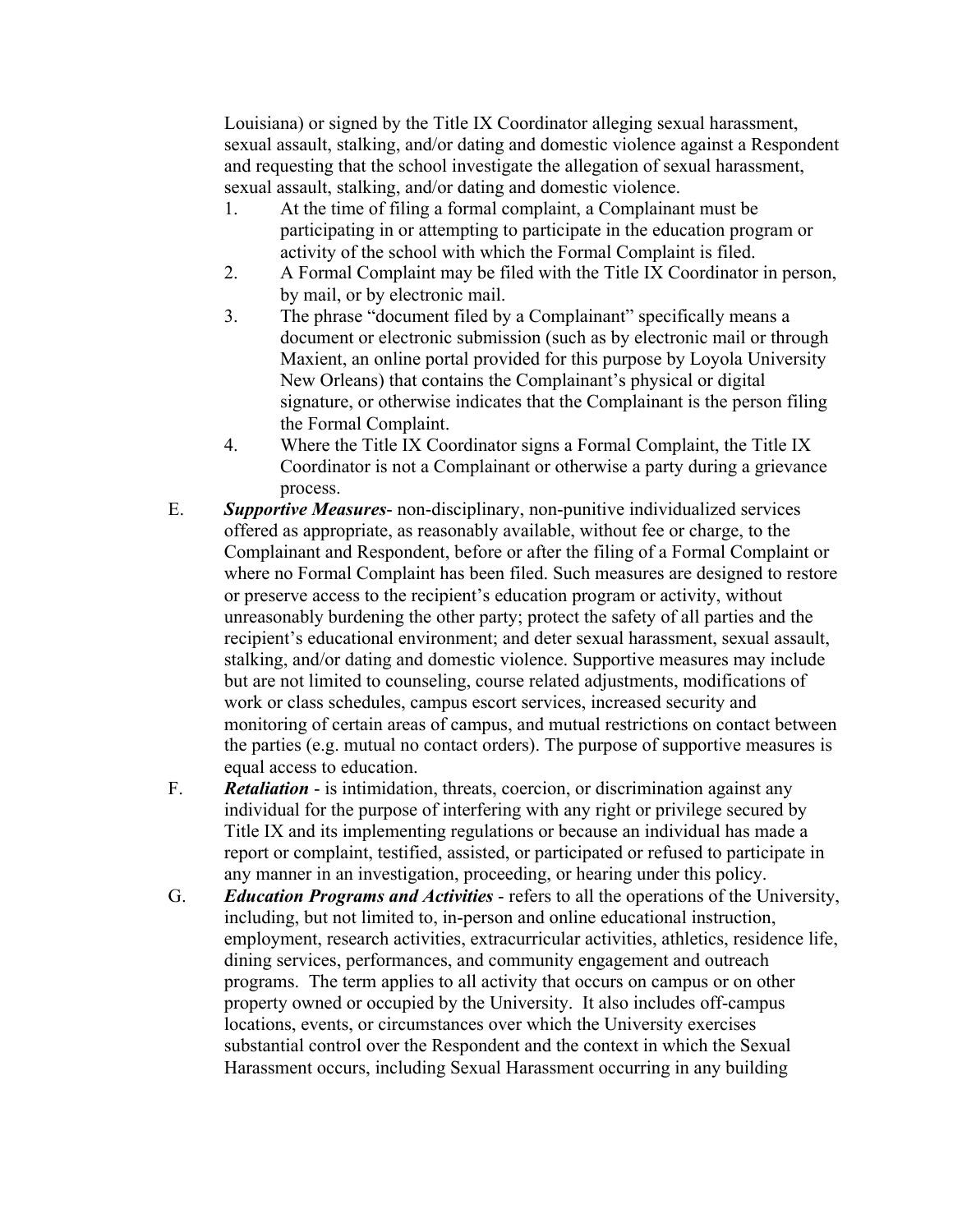Louisiana) or signed by the Title IX Coordinator alleging sexual harassment, sexual assault, stalking, and/or dating and domestic violence against a Respondent and requesting that the school investigate the allegation of sexual harassment, sexual assault, stalking, and/or dating and domestic violence.

- 1. At the time of filing a formal complaint, a Complainant must be participating in or attempting to participate in the education program or activity of the school with which the Formal Complaint is filed.
- 2. A Formal Complaint may be filed with the Title IX Coordinator in person, by mail, or by electronic mail.
- 3. The phrase "document filed by a Complainant" specifically means a document or electronic submission (such as by electronic mail or through Maxient, an online portal provided for this purpose by Loyola University New Orleans) that contains the Complainant's physical or digital signature, or otherwise indicates that the Complainant is the person filing the Formal Complaint.
- 4. Where the Title IX Coordinator signs a Formal Complaint, the Title IX Coordinator is not a Complainant or otherwise a party during a grievance process.
- E. *Supportive Measures* non-disciplinary, non-punitive individualized services offered as appropriate, as reasonably available, without fee or charge, to the Complainant and Respondent, before or after the filing of a Formal Complaint or where no Formal Complaint has been filed. Such measures are designed to restore or preserve access to the recipient's education program or activity, without unreasonably burdening the other party; protect the safety of all parties and the recipient's educational environment; and deter sexual harassment, sexual assault, stalking, and/or dating and domestic violence. Supportive measures may include but are not limited to counseling, course related adjustments, modifications of work or class schedules, campus escort services, increased security and monitoring of certain areas of campus, and mutual restrictions on contact between the parties (e.g. mutual no contact orders). The purpose of supportive measures is equal access to education.
- F. *Retaliation*  is intimidation, threats, coercion, or discrimination against any individual for the purpose of interfering with any right or privilege secured by Title IX and its implementing regulations or because an individual has made a report or complaint, testified, assisted, or participated or refused to participate in any manner in an investigation, proceeding, or hearing under this policy.
- G. *Education Programs and Activities* refers to all the operations of the University, including, but not limited to, in-person and online educational instruction, employment, research activities, extracurricular activities, athletics, residence life, dining services, performances, and community engagement and outreach programs. The term applies to all activity that occurs on campus or on other property owned or occupied by the University. It also includes off-campus locations, events, or circumstances over which the University exercises substantial control over the Respondent and the context in which the Sexual Harassment occurs, including Sexual Harassment occurring in any building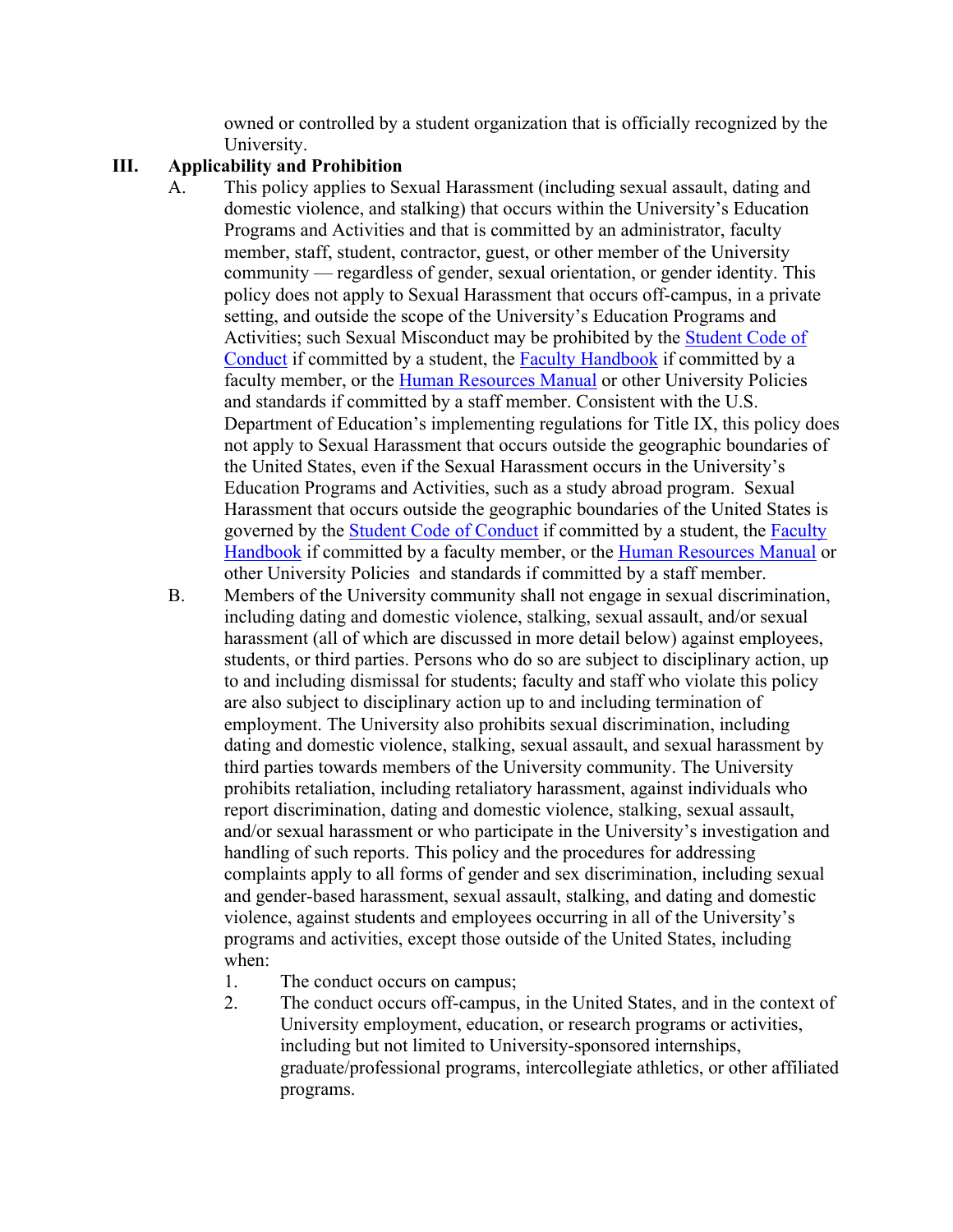owned or controlled by a student organization that is officially recognized by the University.

#### **III. Applicability and Prohibition**

- A. This policy applies to Sexual Harassment (including sexual assault, dating and domestic violence, and stalking) that occurs within the University's Education Programs and Activities and that is committed by an administrator, faculty member, staff, student, contractor, guest, or other member of the University community — regardless of gender, sexual orientation, or gender identity. This policy does not apply to Sexual Harassment that occurs off-campus, in a private setting, and outside the scope of the University's Education Programs and Activities; such Sexual Misconduct may be prohibited by the Student Code of Conduct if committed by a student, the **Faculty Handbook** if committed by a faculty member, or the Human Resources Manual or other University Policies and standards if committed by a staff member. Consistent with the U.S. Department of Education's implementing regulations for Title IX, this policy does not apply to Sexual Harassment that occurs outside the geographic boundaries of the United States, even if the Sexual Harassment occurs in the University's Education Programs and Activities, such as a study abroad program. Sexual Harassment that occurs outside the geographic boundaries of the United States is governed by the Student Code of Conduct if committed by a student, the Faculty Handbook if committed by a faculty member, or the Human Resources Manual or other University Policies and standards if committed by a staff member.
- B. Members of the University community shall not engage in sexual discrimination, including dating and domestic violence, stalking, sexual assault, and/or sexual harassment (all of which are discussed in more detail below) against employees, students, or third parties. Persons who do so are subject to disciplinary action, up to and including dismissal for students; faculty and staff who violate this policy are also subject to disciplinary action up to and including termination of employment. The University also prohibits sexual discrimination, including dating and domestic violence, stalking, sexual assault, and sexual harassment by third parties towards members of the University community. The University prohibits retaliation, including retaliatory harassment, against individuals who report discrimination, dating and domestic violence, stalking, sexual assault, and/or sexual harassment or who participate in the University's investigation and handling of such reports. This policy and the procedures for addressing complaints apply to all forms of gender and sex discrimination, including sexual and gender-based harassment, sexual assault, stalking, and dating and domestic violence, against students and employees occurring in all of the University's programs and activities, except those outside of the United States, including when:
	- 1. The conduct occurs on campus;
	- 2. The conduct occurs off-campus, in the United States, and in the context of University employment, education, or research programs or activities, including but not limited to University-sponsored internships, graduate/professional programs, intercollegiate athletics, or other affiliated programs.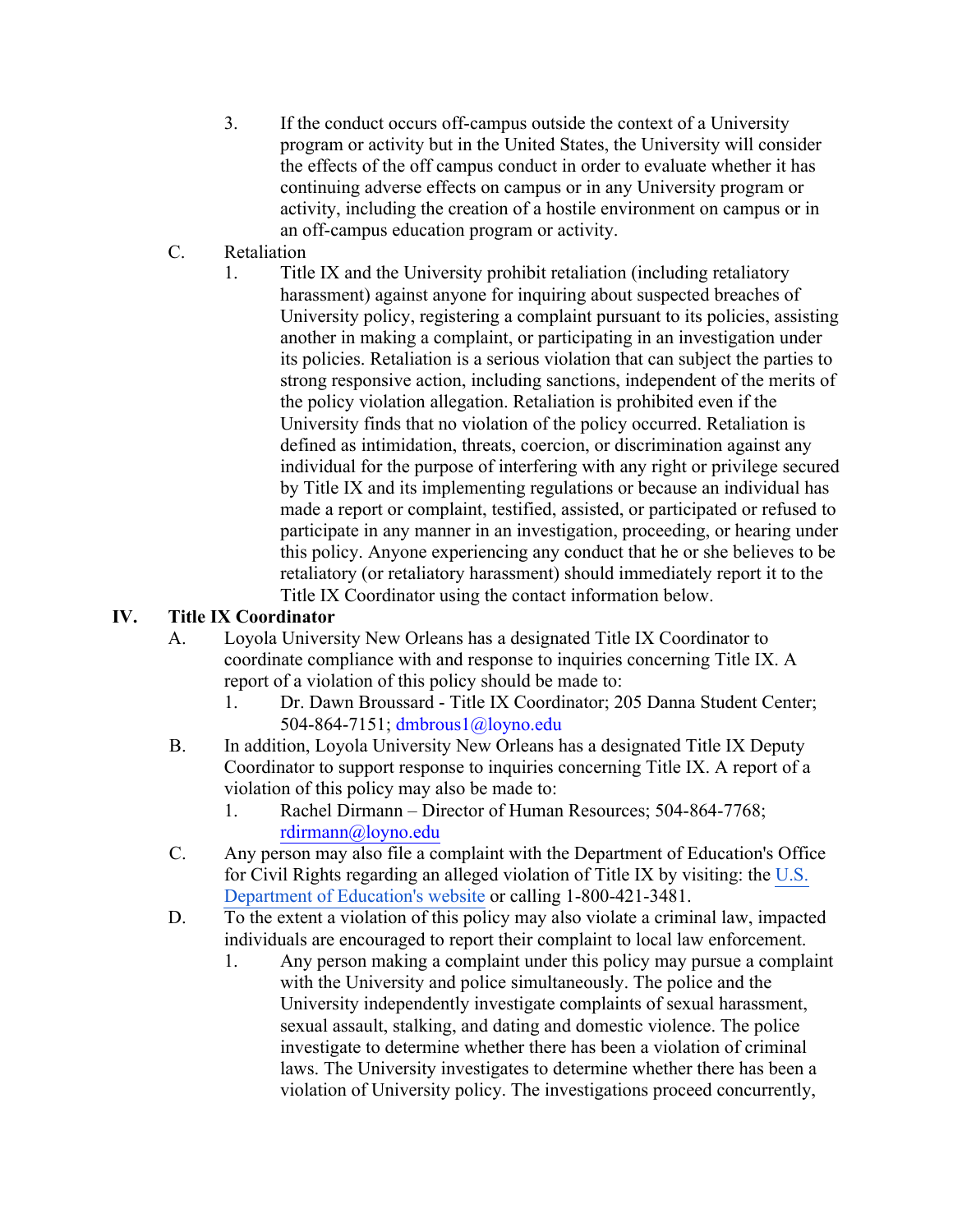- 3. If the conduct occurs off-campus outside the context of a University program or activity but in the United States, the University will consider the effects of the off campus conduct in order to evaluate whether it has continuing adverse effects on campus or in any University program or activity, including the creation of a hostile environment on campus or in an off-campus education program or activity.
- C. Retaliation
	- 1. Title IX and the University prohibit retaliation (including retaliatory harassment) against anyone for inquiring about suspected breaches of University policy, registering a complaint pursuant to its policies, assisting another in making a complaint, or participating in an investigation under its policies. Retaliation is a serious violation that can subject the parties to strong responsive action, including sanctions, independent of the merits of the policy violation allegation. Retaliation is prohibited even if the University finds that no violation of the policy occurred. Retaliation is defined as intimidation, threats, coercion, or discrimination against any individual for the purpose of interfering with any right or privilege secured by Title IX and its implementing regulations or because an individual has made a report or complaint, testified, assisted, or participated or refused to participate in any manner in an investigation, proceeding, or hearing under this policy. Anyone experiencing any conduct that he or she believes to be retaliatory (or retaliatory harassment) should immediately report it to the Title IX Coordinator using the contact information below.

### **IV. Title IX Coordinator**

- A. Loyola University New Orleans has a designated Title IX Coordinator to coordinate compliance with and response to inquiries concerning Title IX. A report of a violation of this policy should be made to:
	- 1. Dr. Dawn Broussard Title IX Coordinator; 205 Danna Student Center; 504-864-7151; dmbrous1@loyno.edu
- B. In addition, Loyola University New Orleans has a designated Title IX Deputy Coordinator to support response to inquiries concerning Title IX. A report of a violation of this policy may also be made to:
	- 1. Rachel Dirmann Director of Human Resources; 504-864-7768; rdirmann@loyno.edu
- C. Any person may also file a complaint with the Department of Education's Office for Civil Rights regarding an alleged violation of Title IX by visiting: the U.S. Department of Education's website or calling 1-800-421-3481.
- D. To the extent a violation of this policy may also violate a criminal law, impacted individuals are encouraged to report their complaint to local law enforcement.
	- 1. Any person making a complaint under this policy may pursue a complaint with the University and police simultaneously. The police and the University independently investigate complaints of sexual harassment, sexual assault, stalking, and dating and domestic violence. The police investigate to determine whether there has been a violation of criminal laws. The University investigates to determine whether there has been a violation of University policy. The investigations proceed concurrently,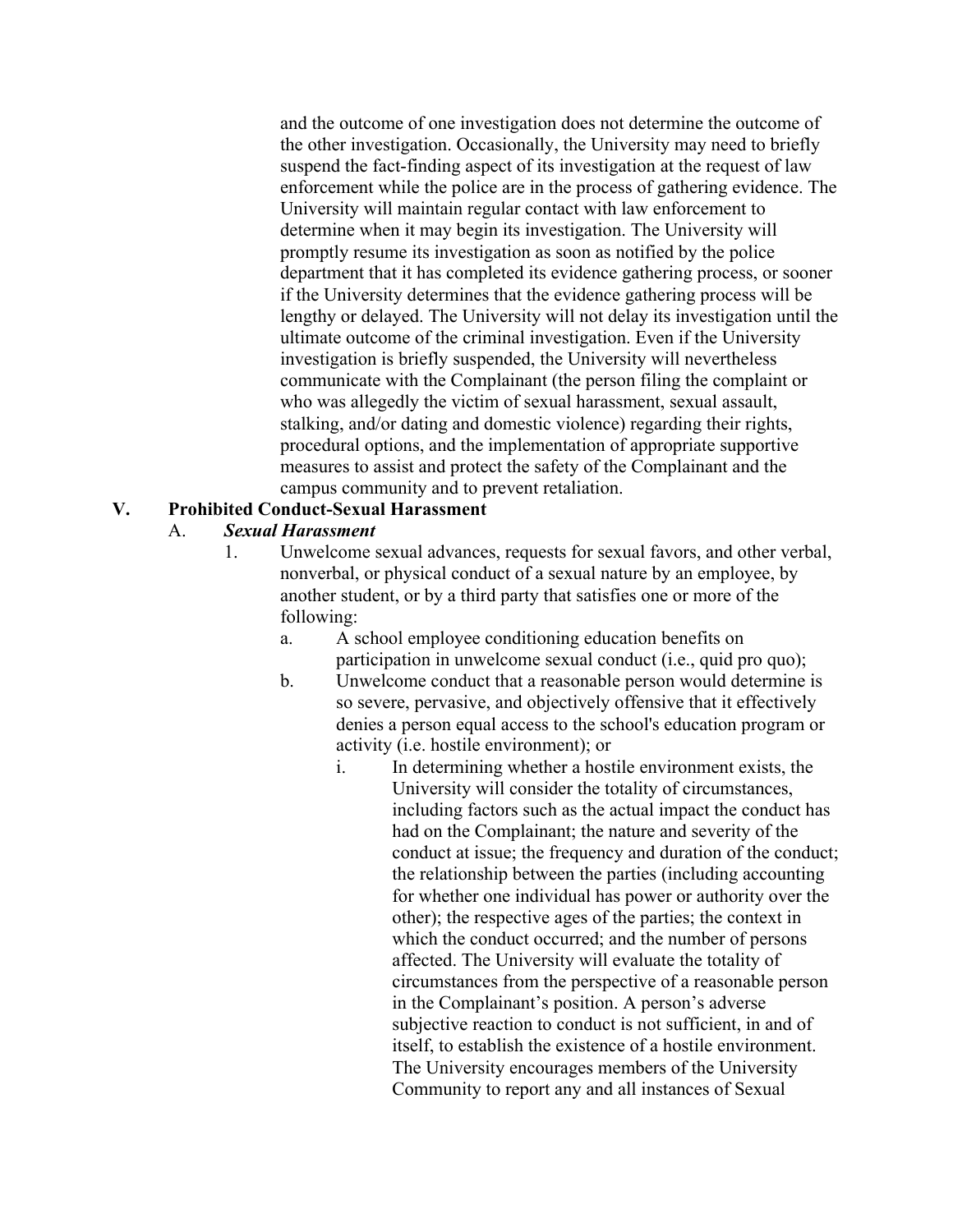and the outcome of one investigation does not determine the outcome of the other investigation. Occasionally, the University may need to briefly suspend the fact-finding aspect of its investigation at the request of law enforcement while the police are in the process of gathering evidence. The University will maintain regular contact with law enforcement to determine when it may begin its investigation. The University will promptly resume its investigation as soon as notified by the police department that it has completed its evidence gathering process, or sooner if the University determines that the evidence gathering process will be lengthy or delayed. The University will not delay its investigation until the ultimate outcome of the criminal investigation. Even if the University investigation is briefly suspended, the University will nevertheless communicate with the Complainant (the person filing the complaint or who was allegedly the victim of sexual harassment, sexual assault, stalking, and/or dating and domestic violence) regarding their rights, procedural options, and the implementation of appropriate supportive measures to assist and protect the safety of the Complainant and the campus community and to prevent retaliation.

### **V. Prohibited Conduct-Sexual Harassment**

#### A. *Sexual Harassment*

- 1. Unwelcome sexual advances, requests for sexual favors, and other verbal, nonverbal, or physical conduct of a sexual nature by an employee, by another student, or by a third party that satisfies one or more of the following:
	- a. A school employee conditioning education benefits on participation in unwelcome sexual conduct (i.e., quid pro quo);
	- b. Unwelcome conduct that a reasonable person would determine is so severe, pervasive, and objectively offensive that it effectively denies a person equal access to the school's education program or activity (i.e. hostile environment); or
		- i. In determining whether a hostile environment exists, the University will consider the totality of circumstances, including factors such as the actual impact the conduct has had on the Complainant; the nature and severity of the conduct at issue; the frequency and duration of the conduct; the relationship between the parties (including accounting for whether one individual has power or authority over the other); the respective ages of the parties; the context in which the conduct occurred; and the number of persons affected. The University will evaluate the totality of circumstances from the perspective of a reasonable person in the Complainant's position. A person's adverse subjective reaction to conduct is not sufficient, in and of itself, to establish the existence of a hostile environment. The University encourages members of the University Community to report any and all instances of Sexual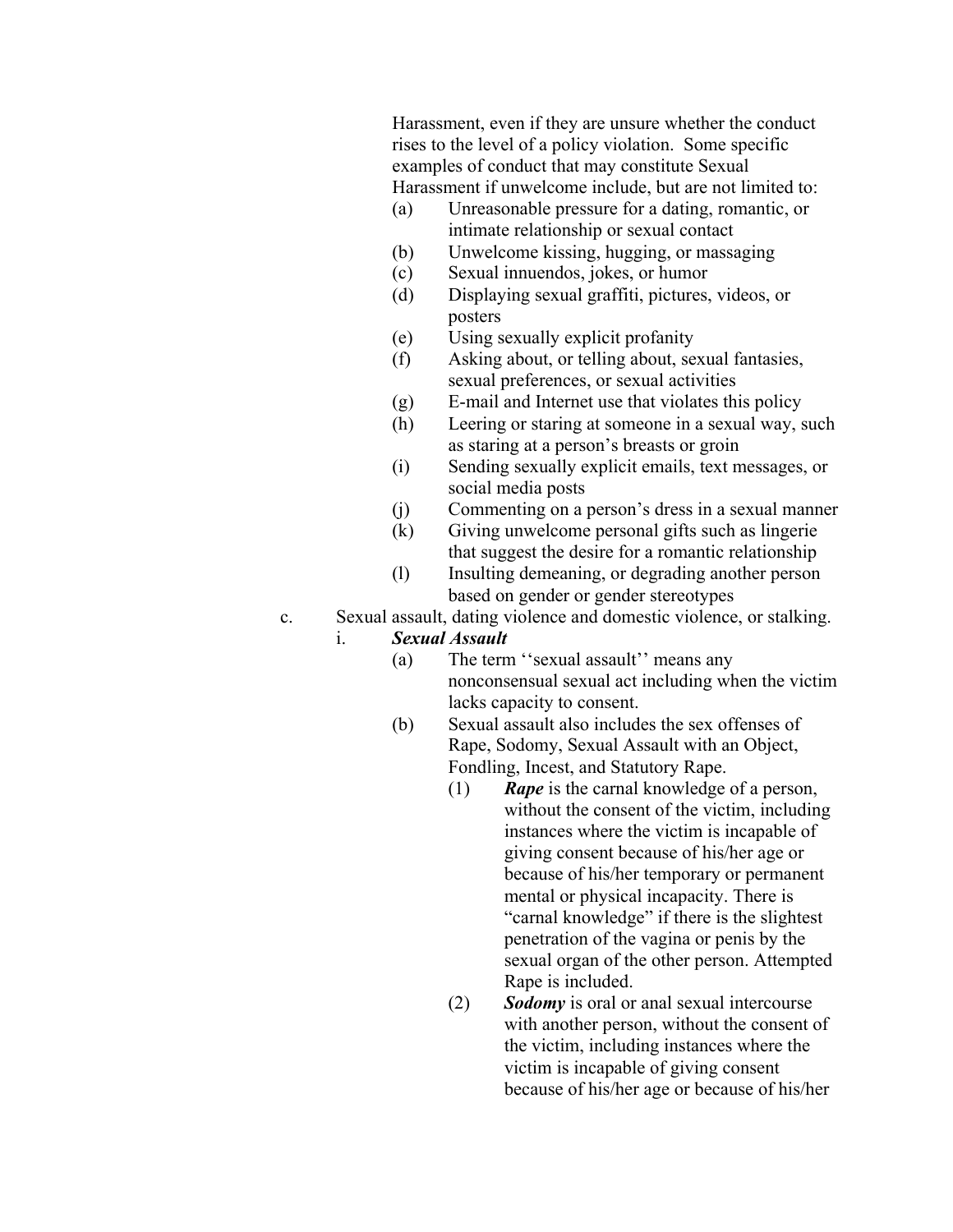Harassment, even if they are unsure whether the conduct rises to the level of a policy violation. Some specific examples of conduct that may constitute Sexual Harassment if unwelcome include, but are not limited to:

- (a) Unreasonable pressure for a dating, romantic, or intimate relationship or sexual contact
- (b) Unwelcome kissing, hugging, or massaging
- (c) Sexual innuendos, jokes, or humor
- (d) Displaying sexual graffiti, pictures, videos, or posters
- (e) Using sexually explicit profanity
- (f) Asking about, or telling about, sexual fantasies, sexual preferences, or sexual activities
- (g) E-mail and Internet use that violates this policy
- (h) Leering or staring at someone in a sexual way, such as staring at a person's breasts or groin
- (i) Sending sexually explicit emails, text messages, or social media posts
- (j) Commenting on a person's dress in a sexual manner
- (k) Giving unwelcome personal gifts such as lingerie that suggest the desire for a romantic relationship
- (l) Insulting demeaning, or degrading another person based on gender or gender stereotypes
- c. Sexual assault, dating violence and domestic violence, or stalking.
	- i. *Sexual Assault*
		- (a) The term ''sexual assault'' means any nonconsensual sexual act including when the victim lacks capacity to consent.
		- (b) Sexual assault also includes the sex offenses of Rape, Sodomy, Sexual Assault with an Object, Fondling, Incest, and Statutory Rape.
			- (1) *Rape* is the carnal knowledge of a person, without the consent of the victim, including instances where the victim is incapable of giving consent because of his/her age or because of his/her temporary or permanent mental or physical incapacity. There is "carnal knowledge" if there is the slightest penetration of the vagina or penis by the sexual organ of the other person. Attempted Rape is included.
			- (2) *Sodomy* is oral or anal sexual intercourse with another person, without the consent of the victim, including instances where the victim is incapable of giving consent because of his/her age or because of his/her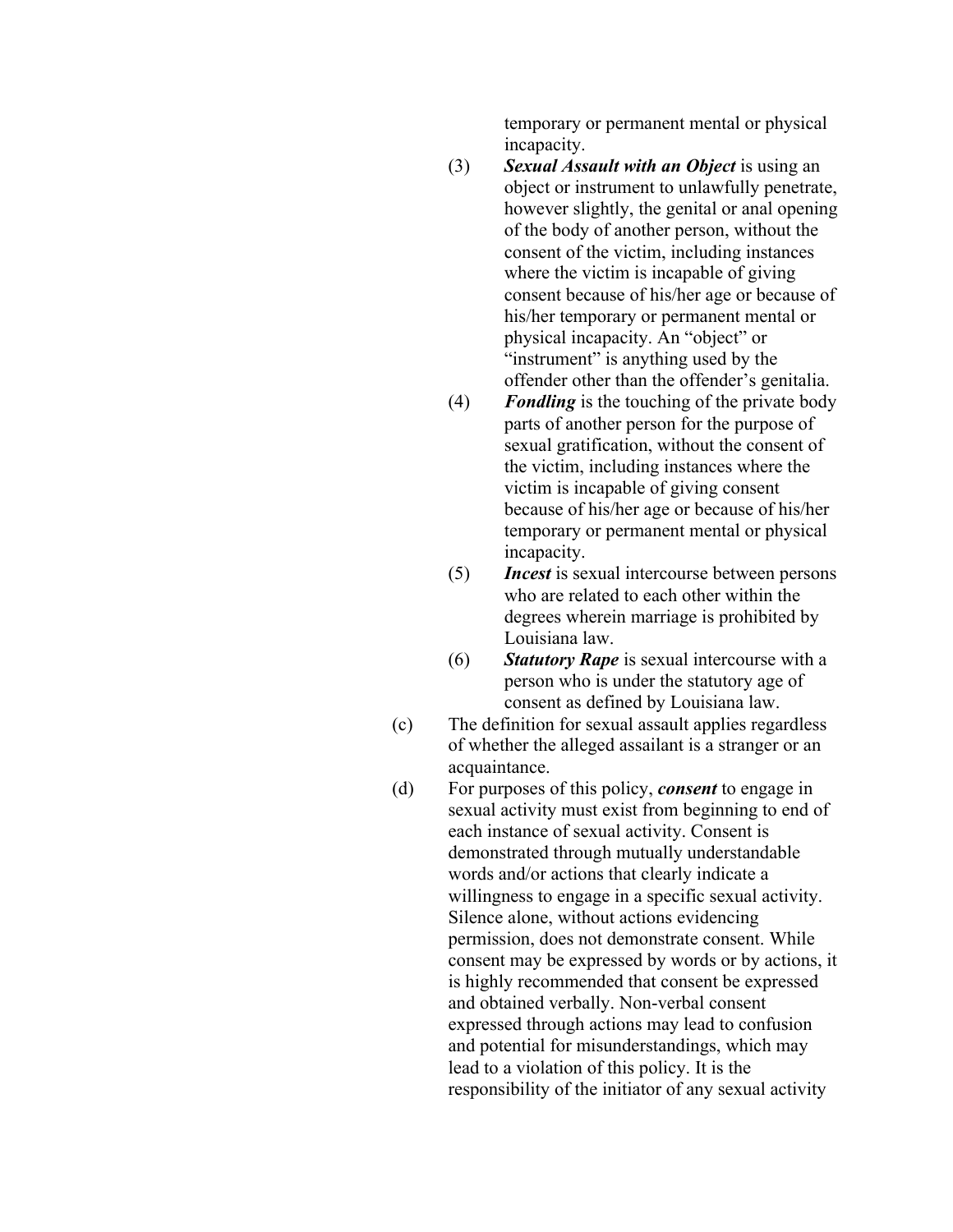temporary or permanent mental or physical incapacity.

- (3) *Sexual Assault with an Object* is using an object or instrument to unlawfully penetrate, however slightly, the genital or anal opening of the body of another person, without the consent of the victim, including instances where the victim is incapable of giving consent because of his/her age or because of his/her temporary or permanent mental or physical incapacity. An "object" or "instrument" is anything used by the offender other than the offender's genitalia.
- (4) *Fondling* is the touching of the private body parts of another person for the purpose of sexual gratification, without the consent of the victim, including instances where the victim is incapable of giving consent because of his/her age or because of his/her temporary or permanent mental or physical incapacity.
- (5) *Incest* is sexual intercourse between persons who are related to each other within the degrees wherein marriage is prohibited by Louisiana law.
- (6) *Statutory Rape* is sexual intercourse with a person who is under the statutory age of consent as defined by Louisiana law.
- (c) The definition for sexual assault applies regardless of whether the alleged assailant is a stranger or an acquaintance.
- (d) For purposes of this policy, *consent* to engage in sexual activity must exist from beginning to end of each instance of sexual activity. Consent is demonstrated through mutually understandable words and/or actions that clearly indicate a willingness to engage in a specific sexual activity. Silence alone, without actions evidencing permission, does not demonstrate consent. While consent may be expressed by words or by actions, it is highly recommended that consent be expressed and obtained verbally. Non-verbal consent expressed through actions may lead to confusion and potential for misunderstandings, which may lead to a violation of this policy. It is the responsibility of the initiator of any sexual activity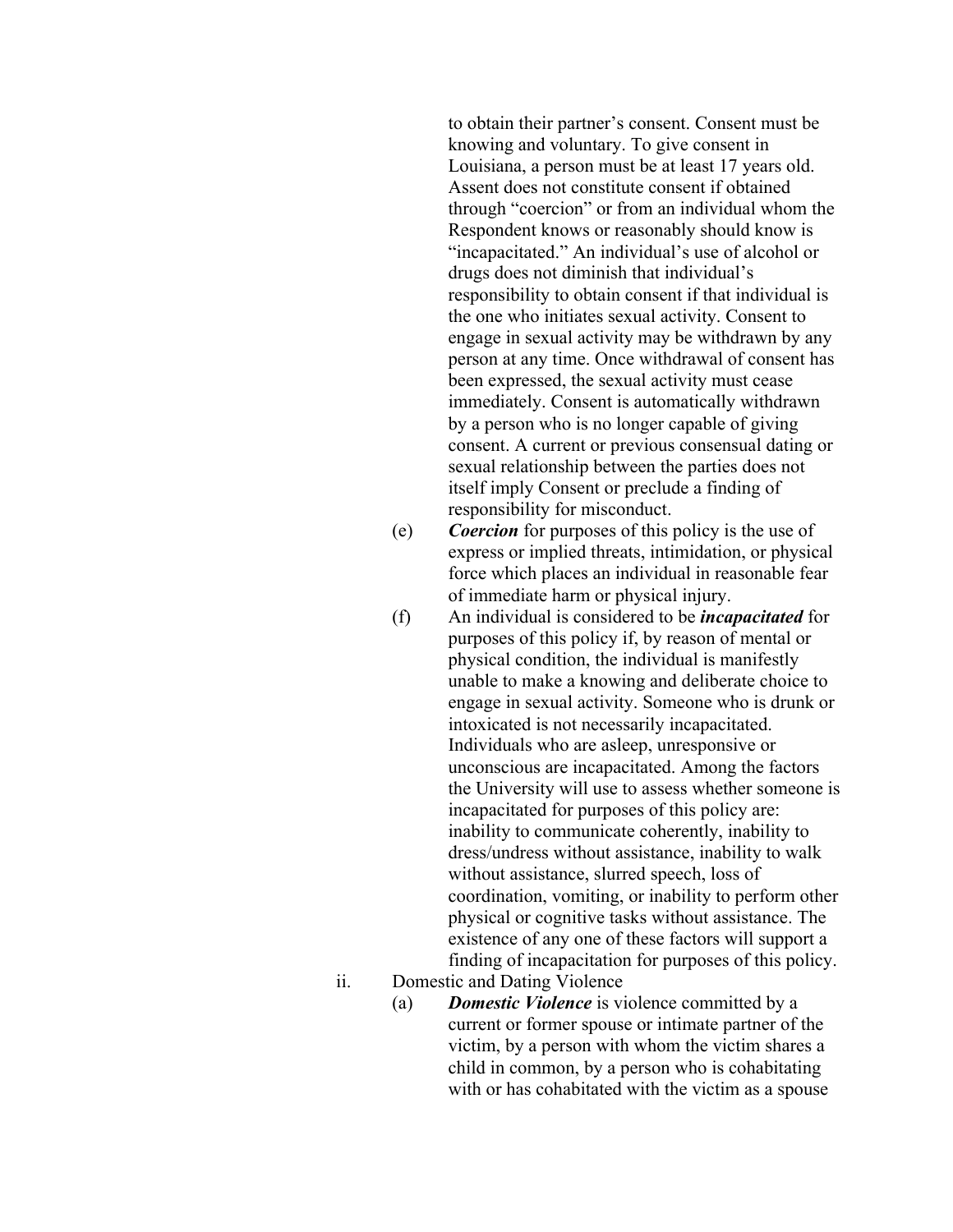to obtain their partner's consent. Consent must be knowing and voluntary. To give consent in Louisiana, a person must be at least 17 years old. Assent does not constitute consent if obtained through "coercion" or from an individual whom the Respondent knows or reasonably should know is "incapacitated." An individual's use of alcohol or drugs does not diminish that individual's responsibility to obtain consent if that individual is the one who initiates sexual activity. Consent to engage in sexual activity may be withdrawn by any person at any time. Once withdrawal of consent has been expressed, the sexual activity must cease immediately. Consent is automatically withdrawn by a person who is no longer capable of giving consent. A current or previous consensual dating or sexual relationship between the parties does not itself imply Consent or preclude a finding of responsibility for misconduct.

- (e) *Coercion* for purposes of this policy is the use of express or implied threats, intimidation, or physical force which places an individual in reasonable fear of immediate harm or physical injury.
- (f) An individual is considered to be *incapacitated* for purposes of this policy if, by reason of mental or physical condition, the individual is manifestly unable to make a knowing and deliberate choice to engage in sexual activity. Someone who is drunk or intoxicated is not necessarily incapacitated. Individuals who are asleep, unresponsive or unconscious are incapacitated. Among the factors the University will use to assess whether someone is incapacitated for purposes of this policy are: inability to communicate coherently, inability to dress/undress without assistance, inability to walk without assistance, slurred speech, loss of coordination, vomiting, or inability to perform other physical or cognitive tasks without assistance. The existence of any one of these factors will support a finding of incapacitation for purposes of this policy.
- ii. Domestic and Dating Violence
	- (a) *Domestic Violence* is violence committed by a current or former spouse or intimate partner of the victim, by a person with whom the victim shares a child in common, by a person who is cohabitating with or has cohabitated with the victim as a spouse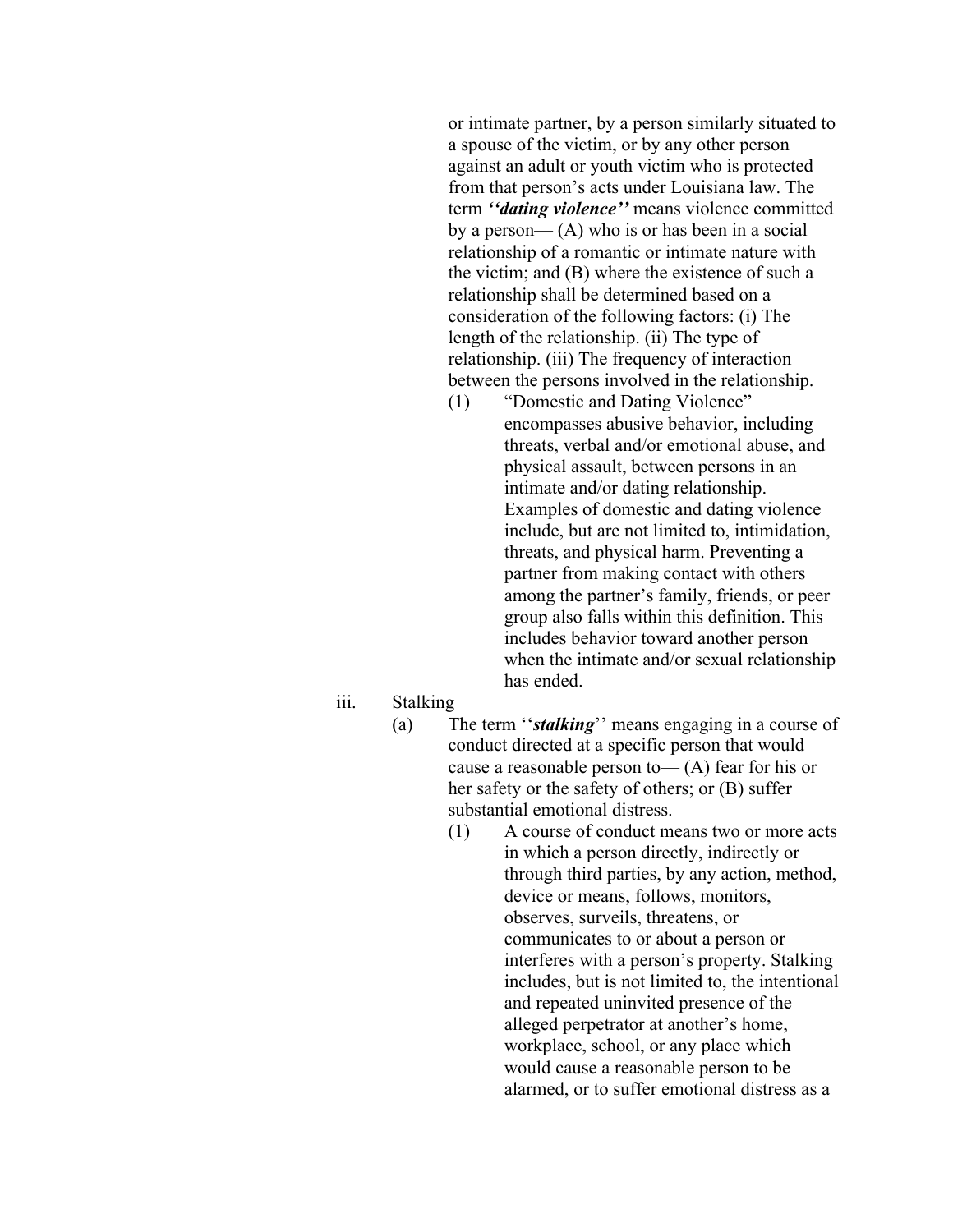or intimate partner, by a person similarly situated to a spouse of the victim, or by any other person against an adult or youth victim who is protected from that person's acts under Louisiana law. The term *''dating violence''* means violence committed by a person— $(A)$  who is or has been in a social relationship of a romantic or intimate nature with the victim; and (B) where the existence of such a relationship shall be determined based on a consideration of the following factors: (i) The length of the relationship. (ii) The type of relationship. (iii) The frequency of interaction between the persons involved in the relationship.

- (1) "Domestic and Dating Violence" encompasses abusive behavior, including threats, verbal and/or emotional abuse, and physical assault, between persons in an intimate and/or dating relationship. Examples of domestic and dating violence include, but are not limited to, intimidation, threats, and physical harm. Preventing a partner from making contact with others among the partner's family, friends, or peer group also falls within this definition. This includes behavior toward another person when the intimate and/or sexual relationship has ended.
- iii. Stalking
	- (a) The term ''*stalking*'' means engaging in a course of conduct directed at a specific person that would cause a reasonable person to  $-(A)$  fear for his or her safety or the safety of others; or (B) suffer substantial emotional distress.
		- (1) A course of conduct means two or more acts in which a person directly, indirectly or through third parties, by any action, method, device or means, follows, monitors, observes, surveils, threatens, or communicates to or about a person or interferes with a person's property. Stalking includes, but is not limited to, the intentional and repeated uninvited presence of the alleged perpetrator at another's home, workplace, school, or any place which would cause a reasonable person to be alarmed, or to suffer emotional distress as a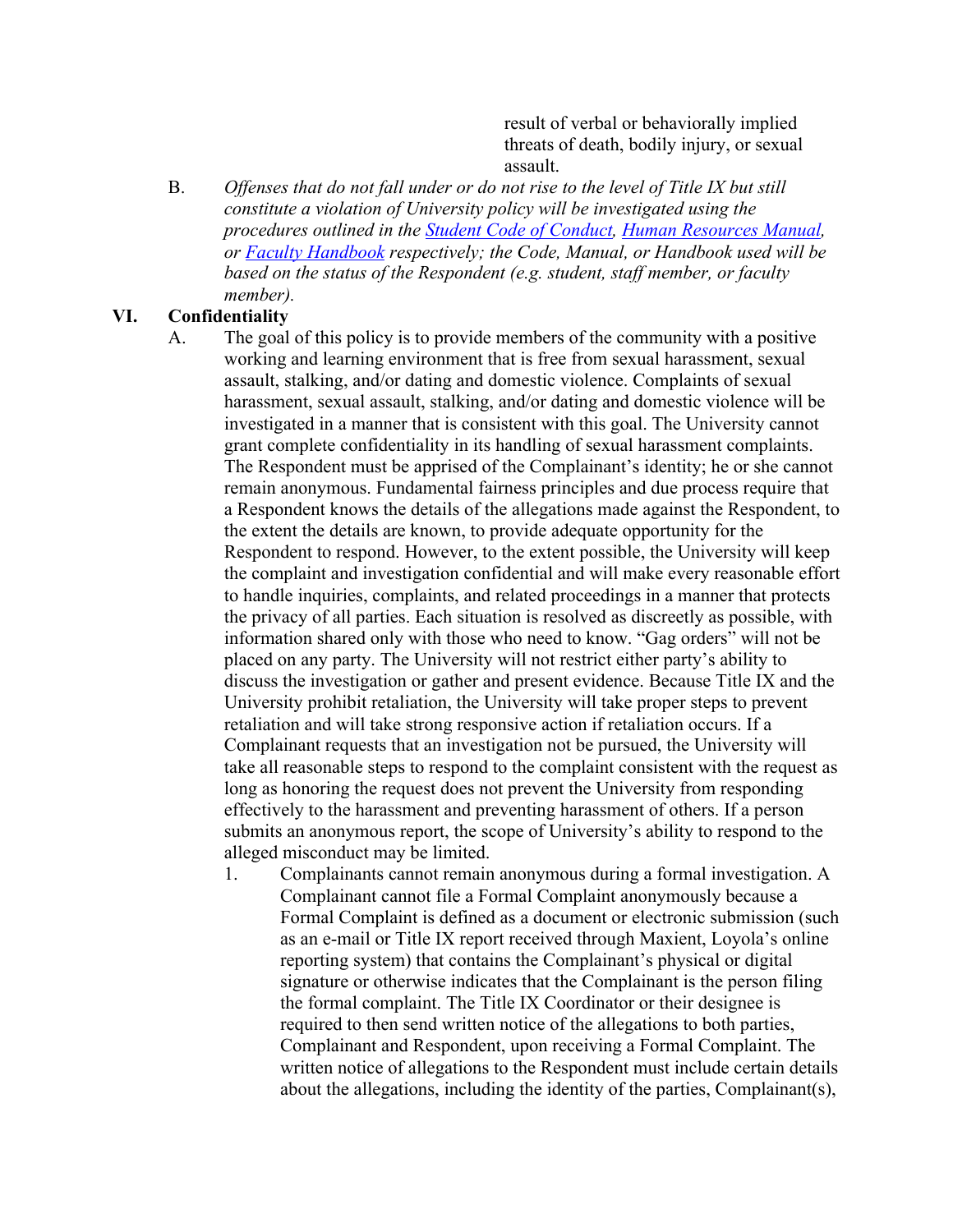result of verbal or behaviorally implied threats of death, bodily injury, or sexual assault.

B. *Offenses that do not fall under or do not rise to the level of Title IX but still constitute a violation of University policy will be investigated using the procedures outlined in the Student Code of Conduct, Human Resources Manual, or Faculty Handbook respectively; the Code, Manual, or Handbook used will be based on the status of the Respondent (e.g. student, staff member, or faculty member).*

#### **VI. Confidentiality**

- A. The goal of this policy is to provide members of the community with a positive working and learning environment that is free from sexual harassment, sexual assault, stalking, and/or dating and domestic violence. Complaints of sexual harassment, sexual assault, stalking, and/or dating and domestic violence will be investigated in a manner that is consistent with this goal. The University cannot grant complete confidentiality in its handling of sexual harassment complaints. The Respondent must be apprised of the Complainant's identity; he or she cannot remain anonymous. Fundamental fairness principles and due process require that a Respondent knows the details of the allegations made against the Respondent, to the extent the details are known, to provide adequate opportunity for the Respondent to respond. However, to the extent possible, the University will keep the complaint and investigation confidential and will make every reasonable effort to handle inquiries, complaints, and related proceedings in a manner that protects the privacy of all parties. Each situation is resolved as discreetly as possible, with information shared only with those who need to know. "Gag orders" will not be placed on any party. The University will not restrict either party's ability to discuss the investigation or gather and present evidence. Because Title IX and the University prohibit retaliation, the University will take proper steps to prevent retaliation and will take strong responsive action if retaliation occurs. If a Complainant requests that an investigation not be pursued, the University will take all reasonable steps to respond to the complaint consistent with the request as long as honoring the request does not prevent the University from responding effectively to the harassment and preventing harassment of others. If a person submits an anonymous report, the scope of University's ability to respond to the alleged misconduct may be limited.
	- 1. Complainants cannot remain anonymous during a formal investigation. A Complainant cannot file a Formal Complaint anonymously because a Formal Complaint is defined as a document or electronic submission (such as an e-mail or Title IX report received through Maxient, Loyola's online reporting system) that contains the Complainant's physical or digital signature or otherwise indicates that the Complainant is the person filing the formal complaint. The Title IX Coordinator or their designee is required to then send written notice of the allegations to both parties, Complainant and Respondent, upon receiving a Formal Complaint. The written notice of allegations to the Respondent must include certain details about the allegations, including the identity of the parties, Complainant(s),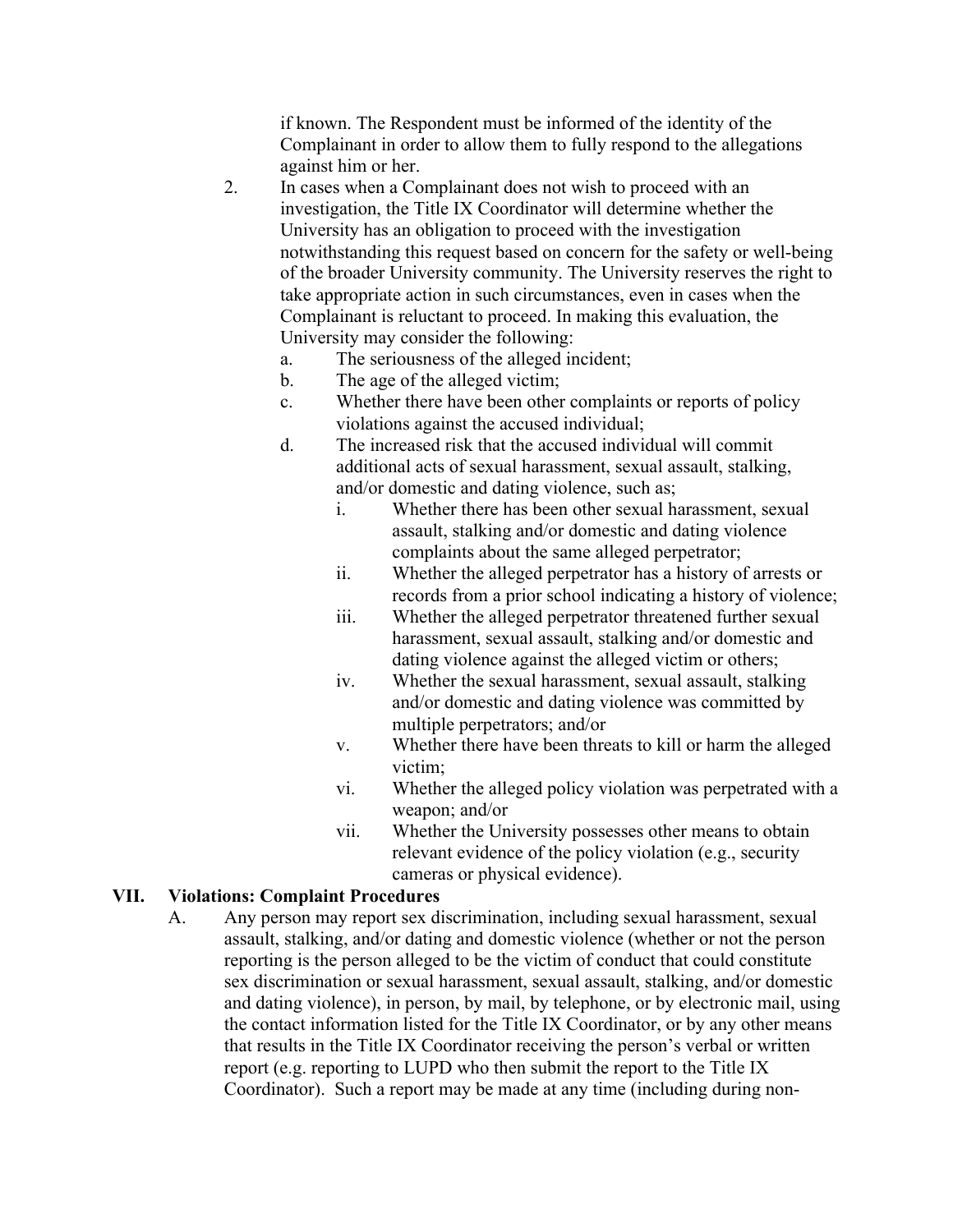if known. The Respondent must be informed of the identity of the Complainant in order to allow them to fully respond to the allegations against him or her.

- 2. In cases when a Complainant does not wish to proceed with an investigation, the Title IX Coordinator will determine whether the University has an obligation to proceed with the investigation notwithstanding this request based on concern for the safety or well-being of the broader University community. The University reserves the right to take appropriate action in such circumstances, even in cases when the Complainant is reluctant to proceed. In making this evaluation, the University may consider the following:
	- a. The seriousness of the alleged incident;
	- b. The age of the alleged victim;
	- c. Whether there have been other complaints or reports of policy violations against the accused individual;
	- d. The increased risk that the accused individual will commit additional acts of sexual harassment, sexual assault, stalking, and/or domestic and dating violence, such as;
		- i. Whether there has been other sexual harassment, sexual assault, stalking and/or domestic and dating violence complaints about the same alleged perpetrator;
		- ii. Whether the alleged perpetrator has a history of arrests or records from a prior school indicating a history of violence;
		- iii. Whether the alleged perpetrator threatened further sexual harassment, sexual assault, stalking and/or domestic and dating violence against the alleged victim or others;
		- iv. Whether the sexual harassment, sexual assault, stalking and/or domestic and dating violence was committed by multiple perpetrators; and/or
		- v. Whether there have been threats to kill or harm the alleged victim;
		- vi. Whether the alleged policy violation was perpetrated with a weapon; and/or
		- vii. Whether the University possesses other means to obtain relevant evidence of the policy violation (e.g., security cameras or physical evidence).

#### **VII. Violations: Complaint Procedures**

A. Any person may report sex discrimination, including sexual harassment, sexual assault, stalking, and/or dating and domestic violence (whether or not the person reporting is the person alleged to be the victim of conduct that could constitute sex discrimination or sexual harassment, sexual assault, stalking, and/or domestic and dating violence), in person, by mail, by telephone, or by electronic mail, using the contact information listed for the Title IX Coordinator, or by any other means that results in the Title IX Coordinator receiving the person's verbal or written report (e.g. reporting to LUPD who then submit the report to the Title IX Coordinator). Such a report may be made at any time (including during non-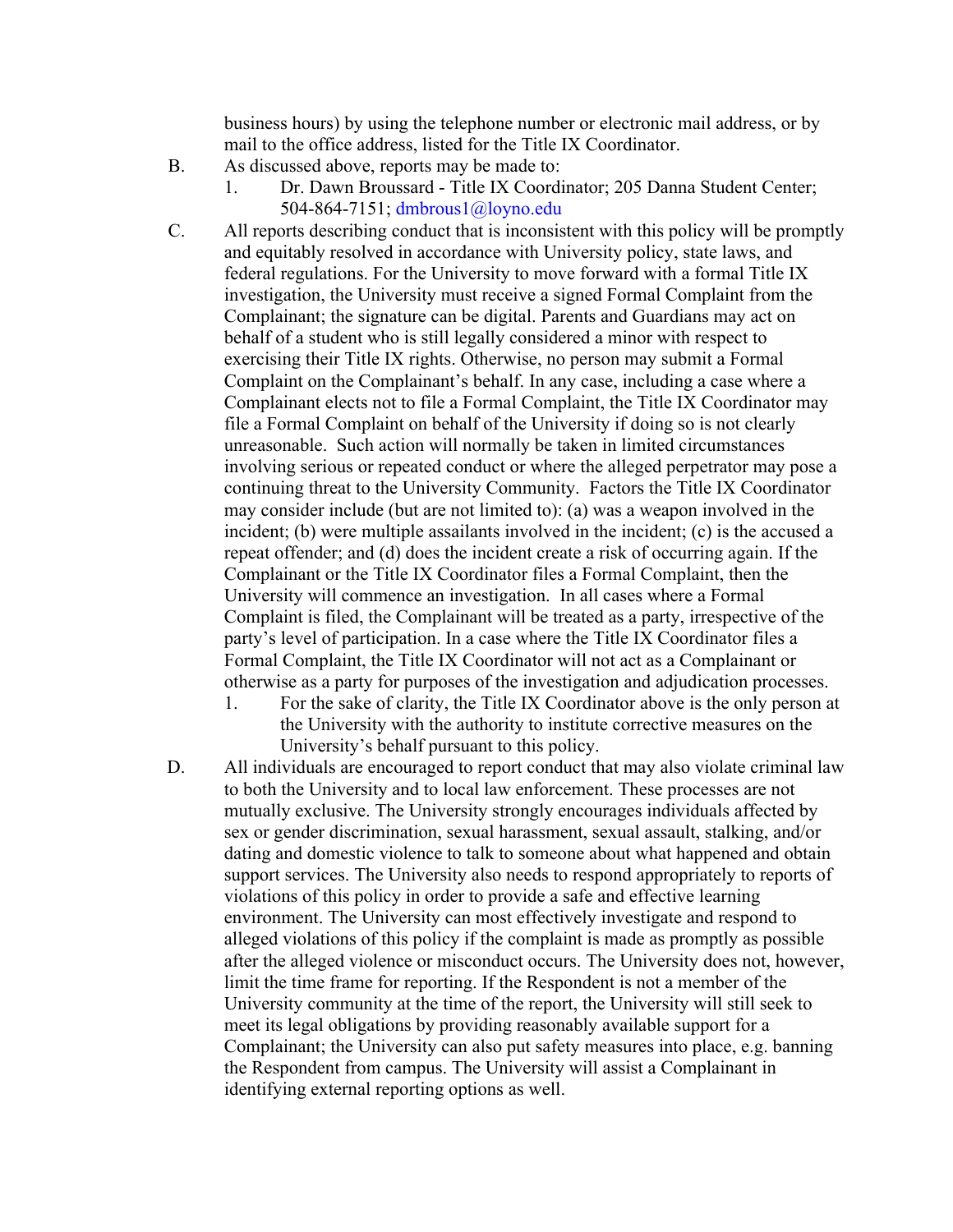business hours) by using the telephone number or electronic mail address, or by mail to the office address, listed for the Title IX Coordinator.

- B. As discussed above, reports may be made to:
	- 1. Dr. Dawn Broussard Title IX Coordinator; 205 Danna Student Center; 504-864-7151; dmbrous1@loyno.edu
- C. All reports describing conduct that is inconsistent with this policy will be promptly and equitably resolved in accordance with University policy, state laws, and federal regulations. For the University to move forward with a formal Title IX investigation, the University must receive a signed Formal Complaint from the Complainant; the signature can be digital. Parents and Guardians may act on behalf of a student who is still legally considered a minor with respect to exercising their Title IX rights. Otherwise, no person may submit a Formal Complaint on the Complainant's behalf. In any case, including a case where a Complainant elects not to file a Formal Complaint, the Title IX Coordinator may file a Formal Complaint on behalf of the University if doing so is not clearly unreasonable. Such action will normally be taken in limited circumstances involving serious or repeated conduct or where the alleged perpetrator may pose a continuing threat to the University Community. Factors the Title IX Coordinator may consider include (but are not limited to): (a) was a weapon involved in the incident; (b) were multiple assailants involved in the incident; (c) is the accused a repeat offender; and (d) does the incident create a risk of occurring again. If the Complainant or the Title IX Coordinator files a Formal Complaint, then the University will commence an investigation. In all cases where a Formal Complaint is filed, the Complainant will be treated as a party, irrespective of the party's level of participation. In a case where the Title IX Coordinator files a Formal Complaint, the Title IX Coordinator will not act as a Complainant or otherwise as a party for purposes of the investigation and adjudication processes.
	- 1. For the sake of clarity, the Title IX Coordinator above is the only person at the University with the authority to institute corrective measures on the University's behalf pursuant to this policy.
- D. All individuals are encouraged to report conduct that may also violate criminal law to both the University and to local law enforcement. These processes are not mutually exclusive. The University strongly encourages individuals affected by sex or gender discrimination, sexual harassment, sexual assault, stalking, and/or dating and domestic violence to talk to someone about what happened and obtain support services. The University also needs to respond appropriately to reports of violations of this policy in order to provide a safe and effective learning environment. The University can most effectively investigate and respond to alleged violations of this policy if the complaint is made as promptly as possible after the alleged violence or misconduct occurs. The University does not, however, limit the time frame for reporting. If the Respondent is not a member of the University community at the time of the report, the University will still seek to meet its legal obligations by providing reasonably available support for a Complainant; the University can also put safety measures into place, e.g. banning the Respondent from campus. The University will assist a Complainant in identifying external reporting options as well.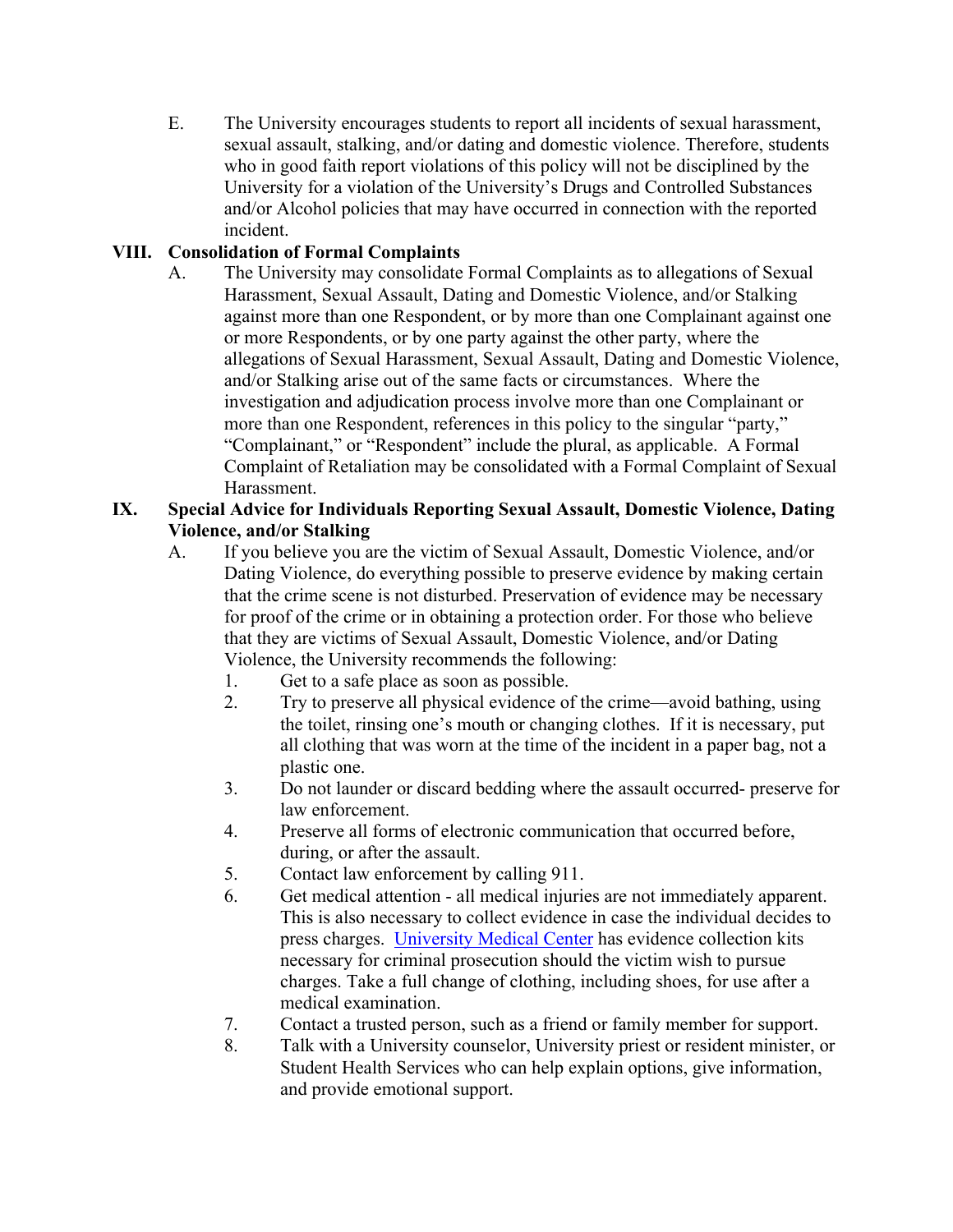E. The University encourages students to report all incidents of sexual harassment, sexual assault, stalking, and/or dating and domestic violence. Therefore, students who in good faith report violations of this policy will not be disciplined by the University for a violation of the University's Drugs and Controlled Substances and/or Alcohol policies that may have occurred in connection with the reported incident.

## **VIII. Consolidation of Formal Complaints**

A. The University may consolidate Formal Complaints as to allegations of Sexual Harassment, Sexual Assault, Dating and Domestic Violence, and/or Stalking against more than one Respondent, or by more than one Complainant against one or more Respondents, or by one party against the other party, where the allegations of Sexual Harassment, Sexual Assault, Dating and Domestic Violence, and/or Stalking arise out of the same facts or circumstances. Where the investigation and adjudication process involve more than one Complainant or more than one Respondent, references in this policy to the singular "party," "Complainant," or "Respondent" include the plural, as applicable. A Formal Complaint of Retaliation may be consolidated with a Formal Complaint of Sexual Harassment.

#### **IX. Special Advice for Individuals Reporting Sexual Assault, Domestic Violence, Dating Violence, and/or Stalking**

- A. If you believe you are the victim of Sexual Assault, Domestic Violence, and/or Dating Violence, do everything possible to preserve evidence by making certain that the crime scene is not disturbed. Preservation of evidence may be necessary for proof of the crime or in obtaining a protection order. For those who believe that they are victims of Sexual Assault, Domestic Violence, and/or Dating Violence, the University recommends the following:
	- 1. Get to a safe place as soon as possible.
	- 2. Try to preserve all physical evidence of the crime—avoid bathing, using the toilet, rinsing one's mouth or changing clothes. If it is necessary, put all clothing that was worn at the time of the incident in a paper bag, not a plastic one.
	- 3. Do not launder or discard bedding where the assault occurred- preserve for law enforcement.
	- 4. Preserve all forms of electronic communication that occurred before, during, or after the assault.
	- 5. Contact law enforcement by calling 911.
	- 6. Get medical attention all medical injuries are not immediately apparent. This is also necessary to collect evidence in case the individual decides to press charges. University Medical Center has evidence collection kits necessary for criminal prosecution should the victim wish to pursue charges. Take a full change of clothing, including shoes, for use after a medical examination.
	- 7. Contact a trusted person, such as a friend or family member for support.
	- 8. Talk with a University counselor, University priest or resident minister, or Student Health Services who can help explain options, give information, and provide emotional support.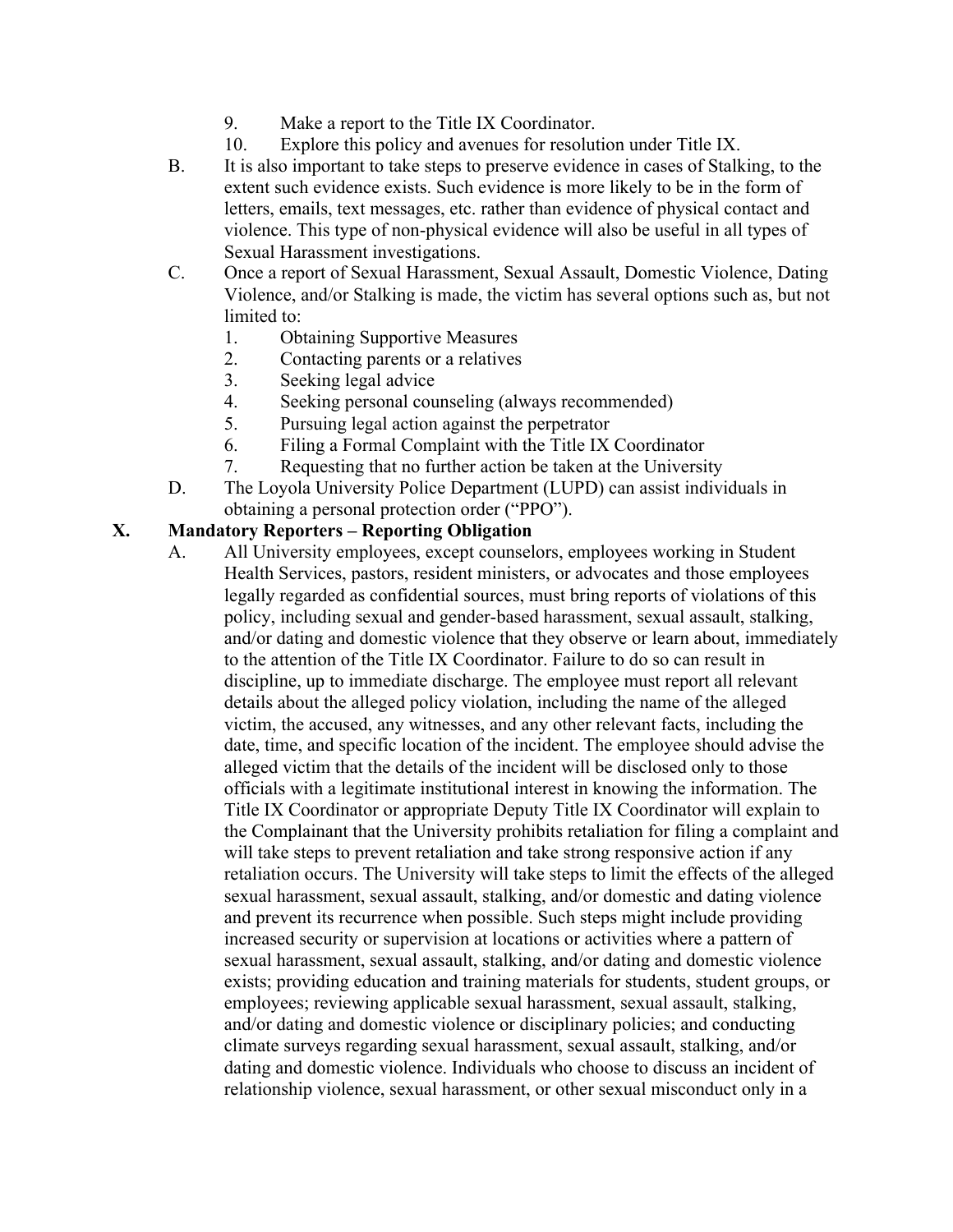- 9. Make a report to the Title IX Coordinator.
- 10. Explore this policy and avenues for resolution under Title IX.
- B. It is also important to take steps to preserve evidence in cases of Stalking, to the extent such evidence exists. Such evidence is more likely to be in the form of letters, emails, text messages, etc. rather than evidence of physical contact and violence. This type of non-physical evidence will also be useful in all types of Sexual Harassment investigations.
- C. Once a report of Sexual Harassment, Sexual Assault, Domestic Violence, Dating Violence, and/or Stalking is made, the victim has several options such as, but not limited to:
	- 1. Obtaining Supportive Measures
	- 2. Contacting parents or a relatives
	- 3. Seeking legal advice
	- 4. Seeking personal counseling (always recommended)
	- 5. Pursuing legal action against the perpetrator
	- 6. Filing a Formal Complaint with the Title IX Coordinator
	- 7. Requesting that no further action be taken at the University
- D. The Loyola University Police Department (LUPD) can assist individuals in obtaining a personal protection order ("PPO").

### **X. Mandatory Reporters – Reporting Obligation**

A. All University employees, except counselors, employees working in Student Health Services, pastors, resident ministers, or advocates and those employees legally regarded as confidential sources, must bring reports of violations of this policy, including sexual and gender-based harassment, sexual assault, stalking, and/or dating and domestic violence that they observe or learn about, immediately to the attention of the Title IX Coordinator. Failure to do so can result in discipline, up to immediate discharge. The employee must report all relevant details about the alleged policy violation, including the name of the alleged victim, the accused, any witnesses, and any other relevant facts, including the date, time, and specific location of the incident. The employee should advise the alleged victim that the details of the incident will be disclosed only to those officials with a legitimate institutional interest in knowing the information. The Title IX Coordinator or appropriate Deputy Title IX Coordinator will explain to the Complainant that the University prohibits retaliation for filing a complaint and will take steps to prevent retaliation and take strong responsive action if any retaliation occurs. The University will take steps to limit the effects of the alleged sexual harassment, sexual assault, stalking, and/or domestic and dating violence and prevent its recurrence when possible. Such steps might include providing increased security or supervision at locations or activities where a pattern of sexual harassment, sexual assault, stalking, and/or dating and domestic violence exists; providing education and training materials for students, student groups, or employees; reviewing applicable sexual harassment, sexual assault, stalking, and/or dating and domestic violence or disciplinary policies; and conducting climate surveys regarding sexual harassment, sexual assault, stalking, and/or dating and domestic violence. Individuals who choose to discuss an incident of relationship violence, sexual harassment, or other sexual misconduct only in a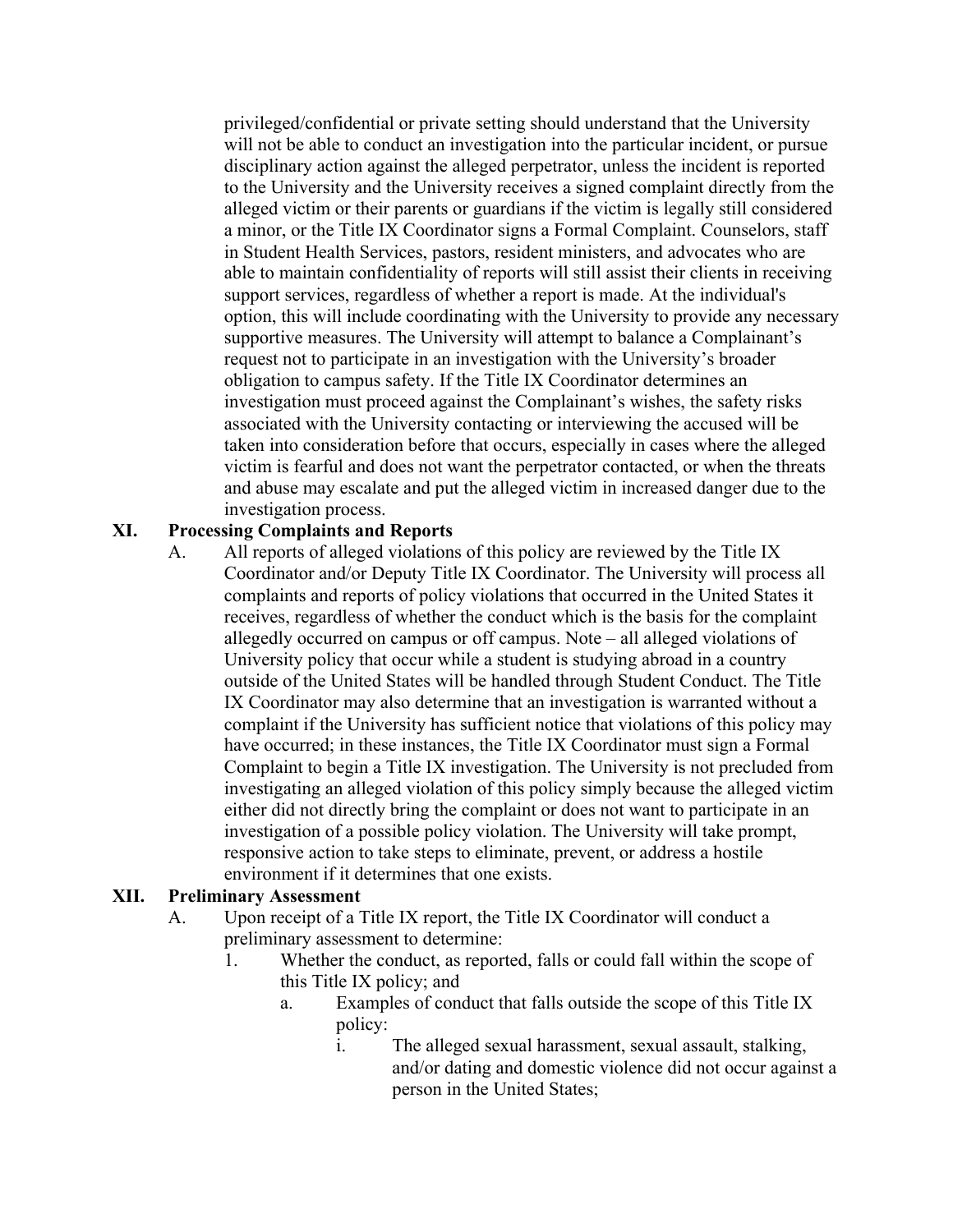privileged/confidential or private setting should understand that the University will not be able to conduct an investigation into the particular incident, or pursue disciplinary action against the alleged perpetrator, unless the incident is reported to the University and the University receives a signed complaint directly from the alleged victim or their parents or guardians if the victim is legally still considered a minor, or the Title IX Coordinator signs a Formal Complaint. Counselors, staff in Student Health Services, pastors, resident ministers, and advocates who are able to maintain confidentiality of reports will still assist their clients in receiving support services, regardless of whether a report is made. At the individual's option, this will include coordinating with the University to provide any necessary supportive measures. The University will attempt to balance a Complainant's request not to participate in an investigation with the University's broader obligation to campus safety. If the Title IX Coordinator determines an investigation must proceed against the Complainant's wishes, the safety risks associated with the University contacting or interviewing the accused will be taken into consideration before that occurs, especially in cases where the alleged victim is fearful and does not want the perpetrator contacted, or when the threats and abuse may escalate and put the alleged victim in increased danger due to the investigation process.

#### **XI. Processing Complaints and Reports**

A. All reports of alleged violations of this policy are reviewed by the Title IX Coordinator and/or Deputy Title IX Coordinator. The University will process all complaints and reports of policy violations that occurred in the United States it receives, regardless of whether the conduct which is the basis for the complaint allegedly occurred on campus or off campus. Note – all alleged violations of University policy that occur while a student is studying abroad in a country outside of the United States will be handled through Student Conduct. The Title IX Coordinator may also determine that an investigation is warranted without a complaint if the University has sufficient notice that violations of this policy may have occurred; in these instances, the Title IX Coordinator must sign a Formal Complaint to begin a Title IX investigation. The University is not precluded from investigating an alleged violation of this policy simply because the alleged victim either did not directly bring the complaint or does not want to participate in an investigation of a possible policy violation. The University will take prompt, responsive action to take steps to eliminate, prevent, or address a hostile environment if it determines that one exists.

#### **XII. Preliminary Assessment**

- A. Upon receipt of a Title IX report, the Title IX Coordinator will conduct a preliminary assessment to determine:
	- 1. Whether the conduct, as reported, falls or could fall within the scope of this Title IX policy; and
		- a. Examples of conduct that falls outside the scope of this Title IX policy:
			- i. The alleged sexual harassment, sexual assault, stalking, and/or dating and domestic violence did not occur against a person in the United States;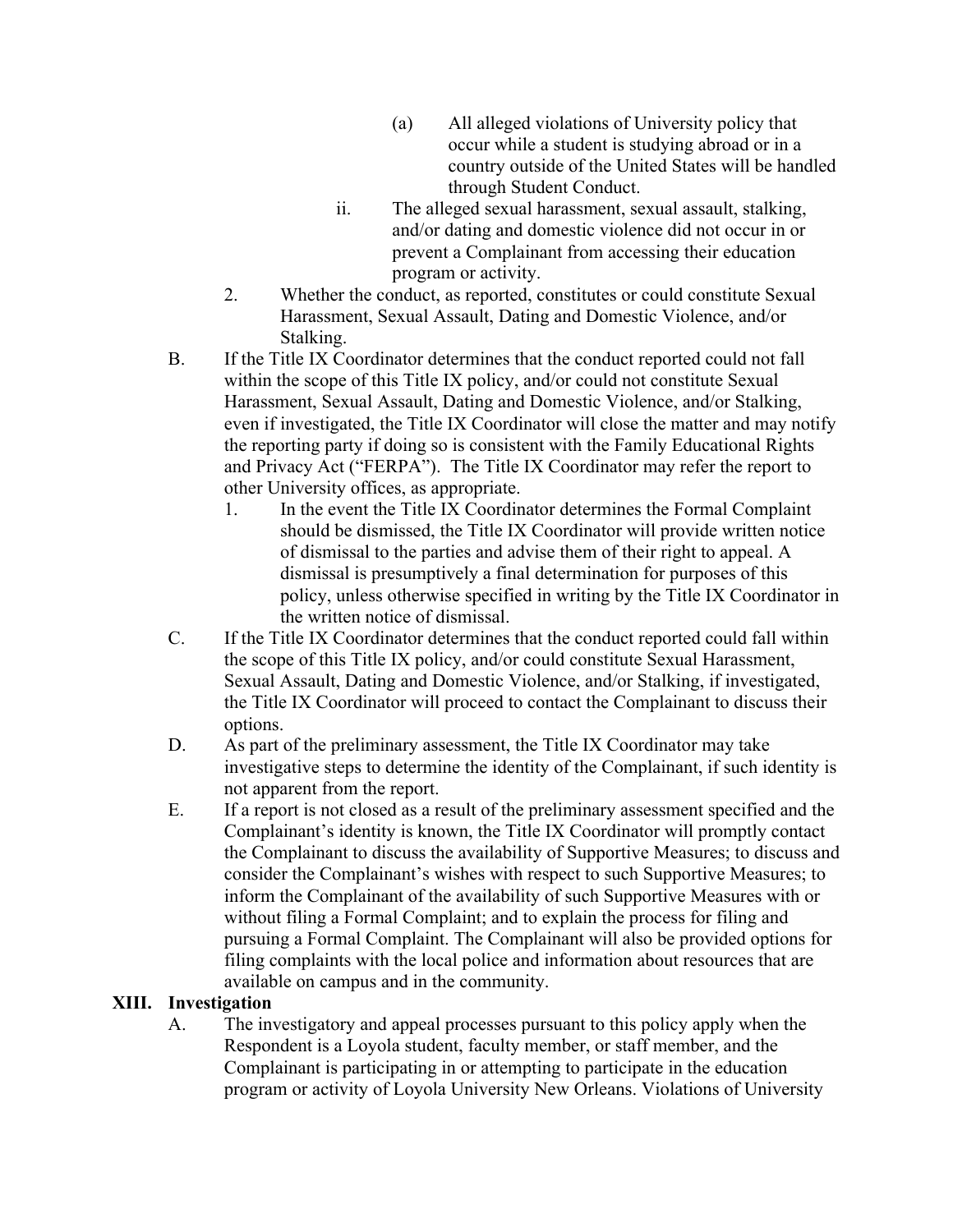- (a) All alleged violations of University policy that occur while a student is studying abroad or in a country outside of the United States will be handled through Student Conduct.
- ii. The alleged sexual harassment, sexual assault, stalking, and/or dating and domestic violence did not occur in or prevent a Complainant from accessing their education program or activity.
- 2. Whether the conduct, as reported, constitutes or could constitute Sexual Harassment, Sexual Assault, Dating and Domestic Violence, and/or Stalking.
- B. If the Title IX Coordinator determines that the conduct reported could not fall within the scope of this Title IX policy, and/or could not constitute Sexual Harassment, Sexual Assault, Dating and Domestic Violence, and/or Stalking, even if investigated, the Title IX Coordinator will close the matter and may notify the reporting party if doing so is consistent with the Family Educational Rights and Privacy Act ("FERPA"). The Title IX Coordinator may refer the report to other University offices, as appropriate.
	- 1. In the event the Title IX Coordinator determines the Formal Complaint should be dismissed, the Title IX Coordinator will provide written notice of dismissal to the parties and advise them of their right to appeal. A dismissal is presumptively a final determination for purposes of this policy, unless otherwise specified in writing by the Title IX Coordinator in the written notice of dismissal.
- C. If the Title IX Coordinator determines that the conduct reported could fall within the scope of this Title IX policy, and/or could constitute Sexual Harassment, Sexual Assault, Dating and Domestic Violence, and/or Stalking, if investigated, the Title IX Coordinator will proceed to contact the Complainant to discuss their options.
- D. As part of the preliminary assessment, the Title IX Coordinator may take investigative steps to determine the identity of the Complainant, if such identity is not apparent from the report.
- E. If a report is not closed as a result of the preliminary assessment specified and the Complainant's identity is known, the Title IX Coordinator will promptly contact the Complainant to discuss the availability of Supportive Measures; to discuss and consider the Complainant's wishes with respect to such Supportive Measures; to inform the Complainant of the availability of such Supportive Measures with or without filing a Formal Complaint; and to explain the process for filing and pursuing a Formal Complaint. The Complainant will also be provided options for filing complaints with the local police and information about resources that are available on campus and in the community.

### **XIII. Investigation**

A. The investigatory and appeal processes pursuant to this policy apply when the Respondent is a Loyola student, faculty member, or staff member, and the Complainant is participating in or attempting to participate in the education program or activity of Loyola University New Orleans. Violations of University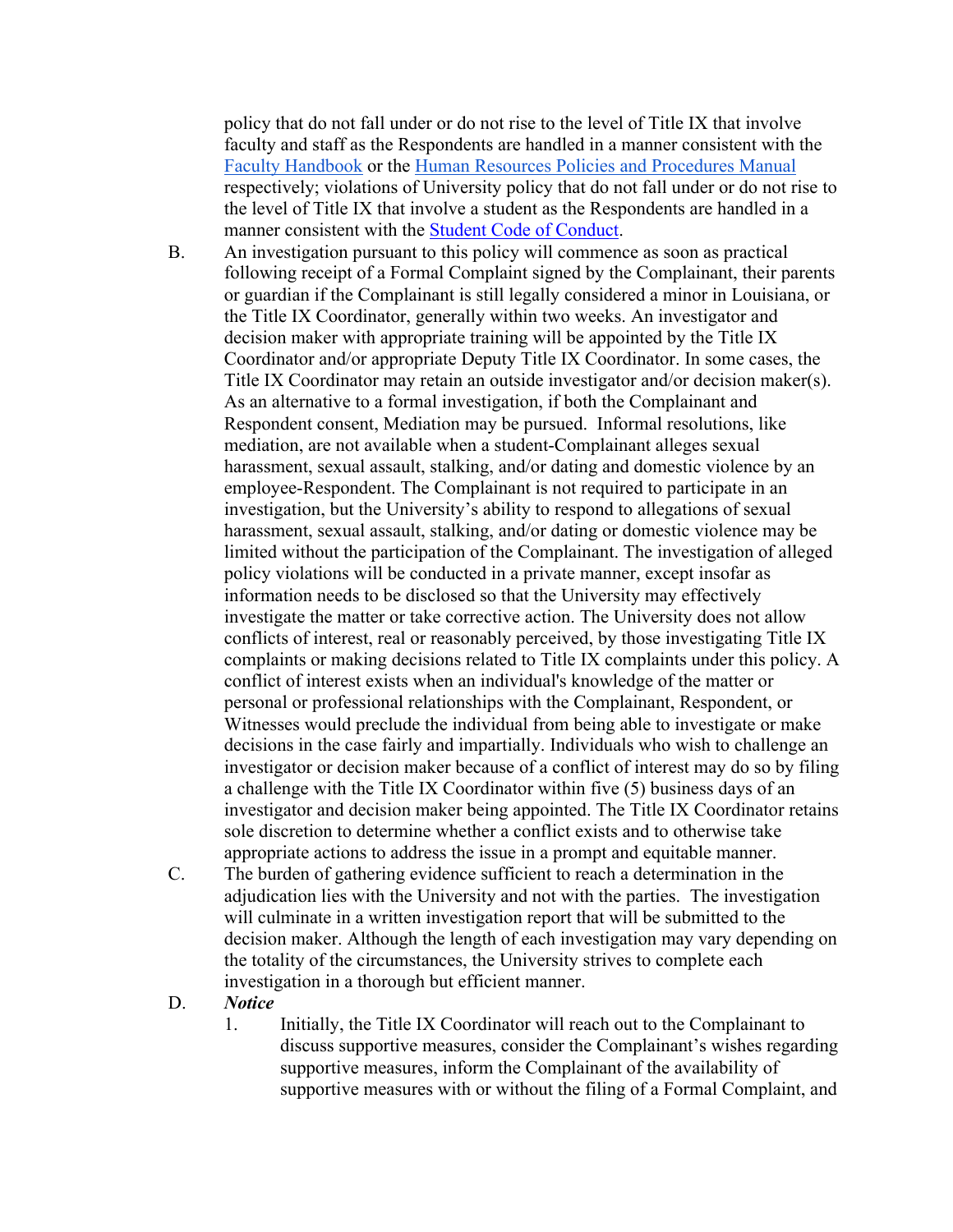policy that do not fall under or do not rise to the level of Title IX that involve faculty and staff as the Respondents are handled in a manner consistent with the Faculty Handbook or the Human Resources Policies and Procedures Manual respectively; violations of University policy that do not fall under or do not rise to the level of Title IX that involve a student as the Respondents are handled in a manner consistent with the Student Code of Conduct.

- B. An investigation pursuant to this policy will commence as soon as practical following receipt of a Formal Complaint signed by the Complainant, their parents or guardian if the Complainant is still legally considered a minor in Louisiana, or the Title IX Coordinator, generally within two weeks. An investigator and decision maker with appropriate training will be appointed by the Title IX Coordinator and/or appropriate Deputy Title IX Coordinator. In some cases, the Title IX Coordinator may retain an outside investigator and/or decision maker(s). As an alternative to a formal investigation, if both the Complainant and Respondent consent, Mediation may be pursued. Informal resolutions, like mediation, are not available when a student-Complainant alleges sexual harassment, sexual assault, stalking, and/or dating and domestic violence by an employee-Respondent. The Complainant is not required to participate in an investigation, but the University's ability to respond to allegations of sexual harassment, sexual assault, stalking, and/or dating or domestic violence may be limited without the participation of the Complainant. The investigation of alleged policy violations will be conducted in a private manner, except insofar as information needs to be disclosed so that the University may effectively investigate the matter or take corrective action. The University does not allow conflicts of interest, real or reasonably perceived, by those investigating Title IX complaints or making decisions related to Title IX complaints under this policy. A conflict of interest exists when an individual's knowledge of the matter or personal or professional relationships with the Complainant, Respondent, or Witnesses would preclude the individual from being able to investigate or make decisions in the case fairly and impartially. Individuals who wish to challenge an investigator or decision maker because of a conflict of interest may do so by filing a challenge with the Title IX Coordinator within five (5) business days of an investigator and decision maker being appointed. The Title IX Coordinator retains sole discretion to determine whether a conflict exists and to otherwise take appropriate actions to address the issue in a prompt and equitable manner.
- C. The burden of gathering evidence sufficient to reach a determination in the adjudication lies with the University and not with the parties. The investigation will culminate in a written investigation report that will be submitted to the decision maker. Although the length of each investigation may vary depending on the totality of the circumstances, the University strives to complete each investigation in a thorough but efficient manner.
- D. *Notice*
	- 1. Initially, the Title IX Coordinator will reach out to the Complainant to discuss supportive measures, consider the Complainant's wishes regarding supportive measures, inform the Complainant of the availability of supportive measures with or without the filing of a Formal Complaint, and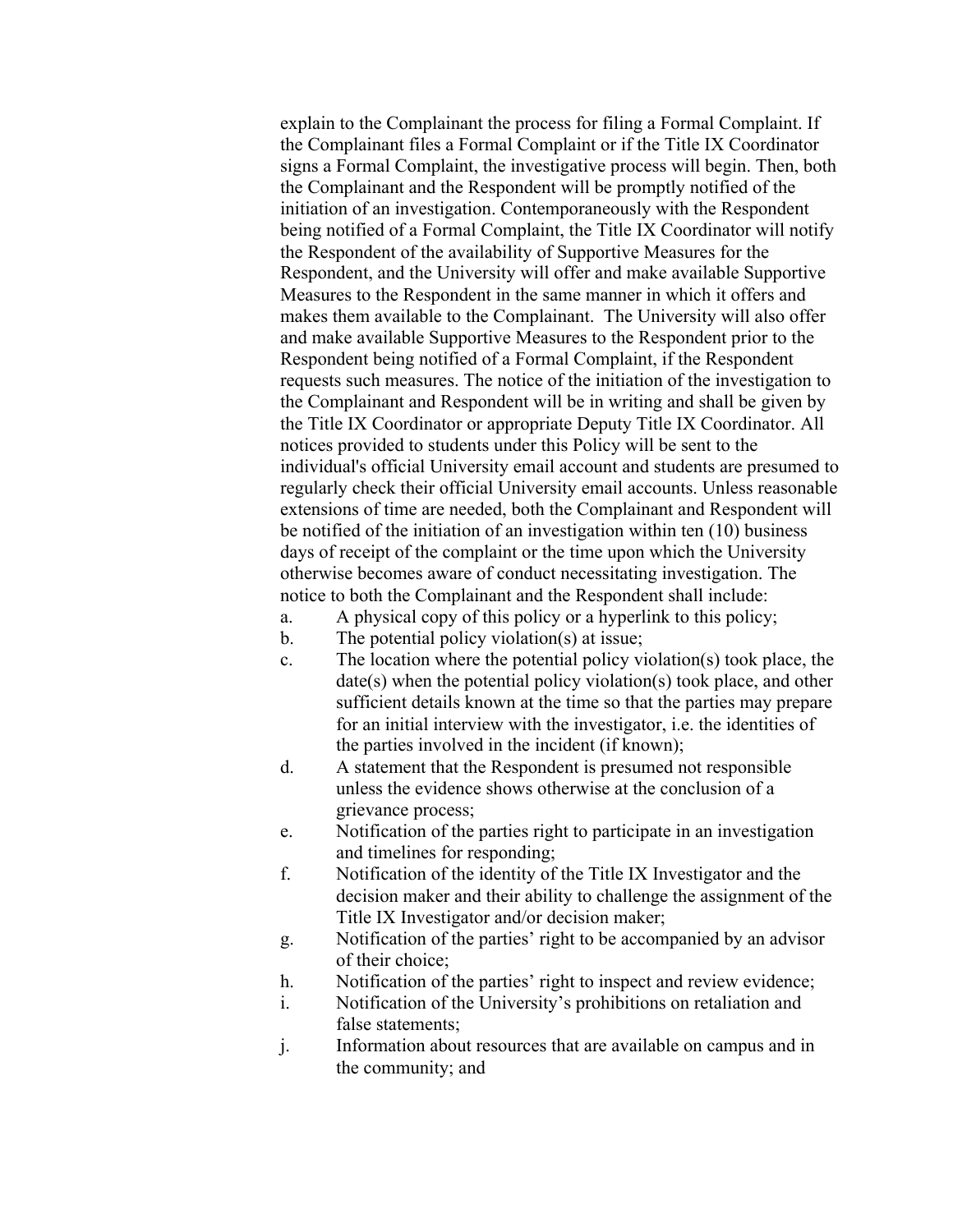explain to the Complainant the process for filing a Formal Complaint. If the Complainant files a Formal Complaint or if the Title IX Coordinator signs a Formal Complaint, the investigative process will begin. Then, both the Complainant and the Respondent will be promptly notified of the initiation of an investigation. Contemporaneously with the Respondent being notified of a Formal Complaint, the Title IX Coordinator will notify the Respondent of the availability of Supportive Measures for the Respondent, and the University will offer and make available Supportive Measures to the Respondent in the same manner in which it offers and makes them available to the Complainant. The University will also offer and make available Supportive Measures to the Respondent prior to the Respondent being notified of a Formal Complaint, if the Respondent requests such measures. The notice of the initiation of the investigation to the Complainant and Respondent will be in writing and shall be given by the Title IX Coordinator or appropriate Deputy Title IX Coordinator. All notices provided to students under this Policy will be sent to the individual's official University email account and students are presumed to regularly check their official University email accounts. Unless reasonable extensions of time are needed, both the Complainant and Respondent will be notified of the initiation of an investigation within ten (10) business days of receipt of the complaint or the time upon which the University otherwise becomes aware of conduct necessitating investigation. The notice to both the Complainant and the Respondent shall include:

- a. A physical copy of this policy or a hyperlink to this policy;
- b. The potential policy violation(s) at issue;
- c. The location where the potential policy violation(s) took place, the date(s) when the potential policy violation(s) took place, and other sufficient details known at the time so that the parties may prepare for an initial interview with the investigator, i.e. the identities of the parties involved in the incident (if known);
- d. A statement that the Respondent is presumed not responsible unless the evidence shows otherwise at the conclusion of a grievance process;
- e. Notification of the parties right to participate in an investigation and timelines for responding;
- f. Notification of the identity of the Title IX Investigator and the decision maker and their ability to challenge the assignment of the Title IX Investigator and/or decision maker;
- g. Notification of the parties' right to be accompanied by an advisor of their choice;
- h. Notification of the parties' right to inspect and review evidence;
- i. Notification of the University's prohibitions on retaliation and false statements;
- j. Information about resources that are available on campus and in the community; and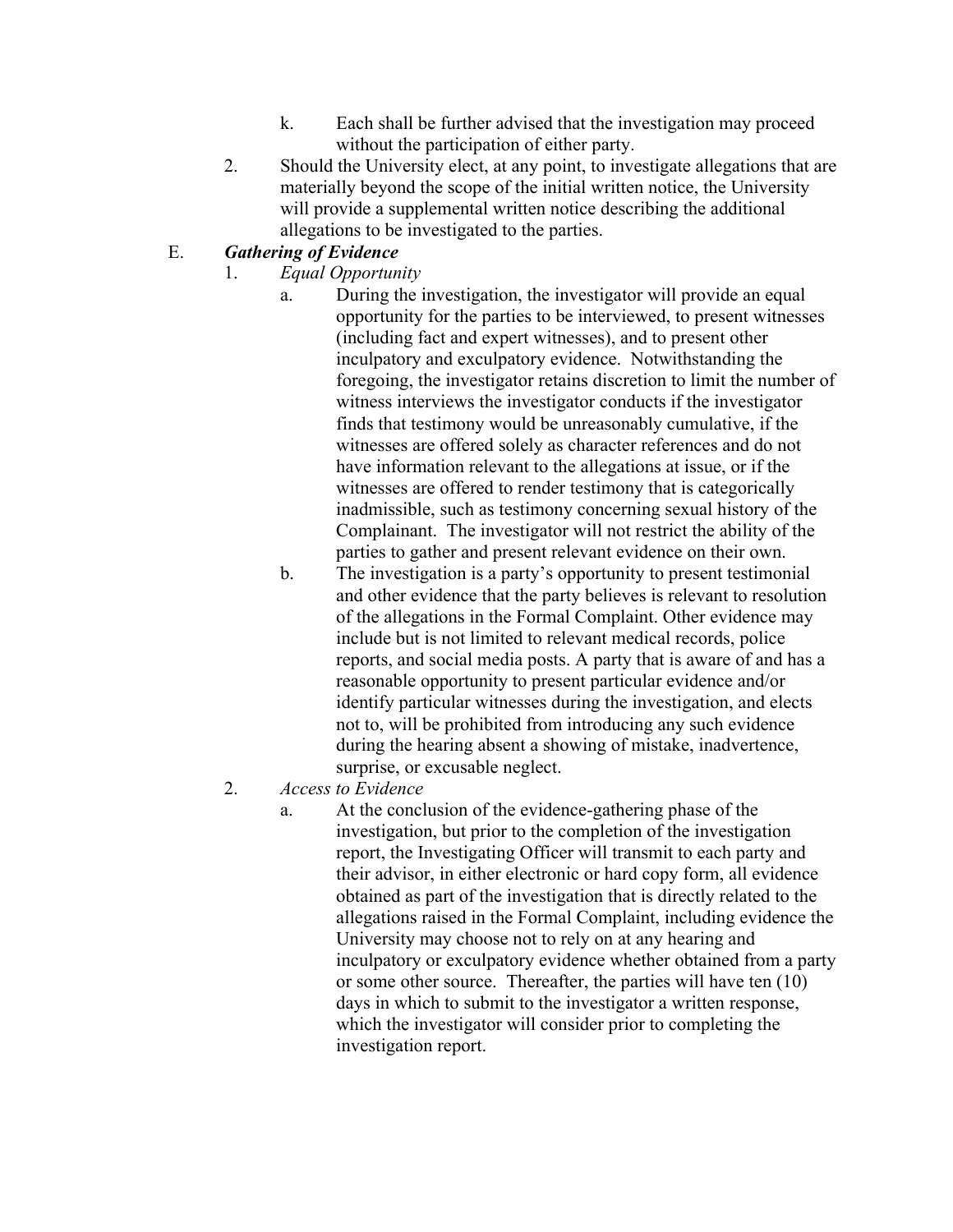- k. Each shall be further advised that the investigation may proceed without the participation of either party.
- 2. Should the University elect, at any point, to investigate allegations that are materially beyond the scope of the initial written notice, the University will provide a supplemental written notice describing the additional allegations to be investigated to the parties.

# E. *Gathering of Evidence*

- 1. *Equal Opportunity*
	- a. During the investigation, the investigator will provide an equal opportunity for the parties to be interviewed, to present witnesses (including fact and expert witnesses), and to present other inculpatory and exculpatory evidence. Notwithstanding the foregoing, the investigator retains discretion to limit the number of witness interviews the investigator conducts if the investigator finds that testimony would be unreasonably cumulative, if the witnesses are offered solely as character references and do not have information relevant to the allegations at issue, or if the witnesses are offered to render testimony that is categorically inadmissible, such as testimony concerning sexual history of the Complainant. The investigator will not restrict the ability of the parties to gather and present relevant evidence on their own.
	- b. The investigation is a party's opportunity to present testimonial and other evidence that the party believes is relevant to resolution of the allegations in the Formal Complaint. Other evidence may include but is not limited to relevant medical records, police reports, and social media posts. A party that is aware of and has a reasonable opportunity to present particular evidence and/or identify particular witnesses during the investigation, and elects not to, will be prohibited from introducing any such evidence during the hearing absent a showing of mistake, inadvertence, surprise, or excusable neglect.
- 2. *Access to Evidence*
	- a. At the conclusion of the evidence-gathering phase of the investigation, but prior to the completion of the investigation report, the Investigating Officer will transmit to each party and their advisor, in either electronic or hard copy form, all evidence obtained as part of the investigation that is directly related to the allegations raised in the Formal Complaint, including evidence the University may choose not to rely on at any hearing and inculpatory or exculpatory evidence whether obtained from a party or some other source. Thereafter, the parties will have ten (10) days in which to submit to the investigator a written response, which the investigator will consider prior to completing the investigation report.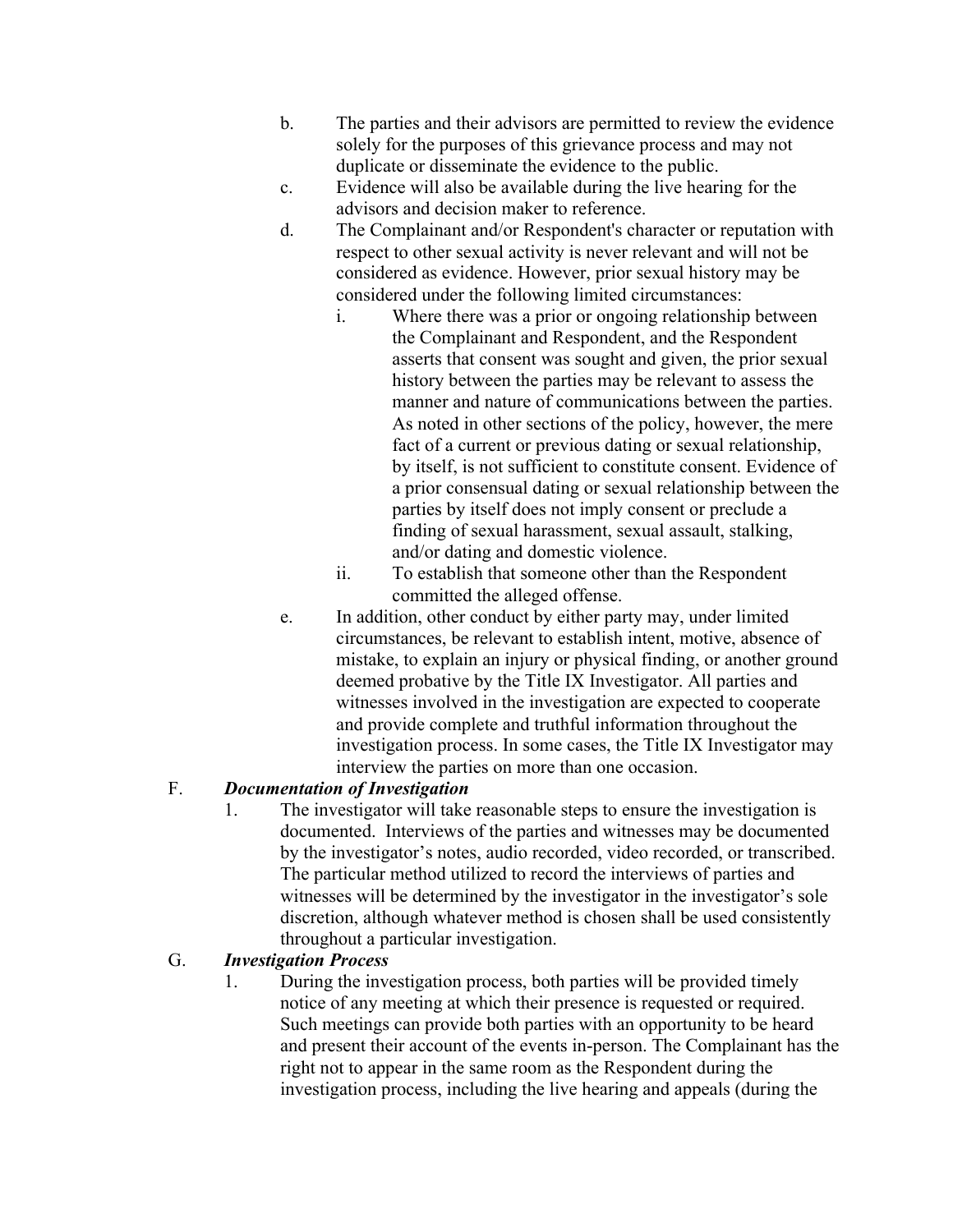- b. The parties and their advisors are permitted to review the evidence solely for the purposes of this grievance process and may not duplicate or disseminate the evidence to the public.
- c. Evidence will also be available during the live hearing for the advisors and decision maker to reference.
- d. The Complainant and/or Respondent's character or reputation with respect to other sexual activity is never relevant and will not be considered as evidence. However, prior sexual history may be considered under the following limited circumstances:
	- i. Where there was a prior or ongoing relationship between the Complainant and Respondent, and the Respondent asserts that consent was sought and given, the prior sexual history between the parties may be relevant to assess the manner and nature of communications between the parties. As noted in other sections of the policy, however, the mere fact of a current or previous dating or sexual relationship, by itself, is not sufficient to constitute consent. Evidence of a prior consensual dating or sexual relationship between the parties by itself does not imply consent or preclude a finding of sexual harassment, sexual assault, stalking, and/or dating and domestic violence.
	- ii. To establish that someone other than the Respondent committed the alleged offense.
- e. In addition, other conduct by either party may, under limited circumstances, be relevant to establish intent, motive, absence of mistake, to explain an injury or physical finding, or another ground deemed probative by the Title IX Investigator. All parties and witnesses involved in the investigation are expected to cooperate and provide complete and truthful information throughout the investigation process. In some cases, the Title IX Investigator may interview the parties on more than one occasion.

# F. *Documentation of Investigation*

1. The investigator will take reasonable steps to ensure the investigation is documented. Interviews of the parties and witnesses may be documented by the investigator's notes, audio recorded, video recorded, or transcribed. The particular method utilized to record the interviews of parties and witnesses will be determined by the investigator in the investigator's sole discretion, although whatever method is chosen shall be used consistently throughout a particular investigation.

# G. *Investigation Process*

1. During the investigation process, both parties will be provided timely notice of any meeting at which their presence is requested or required. Such meetings can provide both parties with an opportunity to be heard and present their account of the events in-person. The Complainant has the right not to appear in the same room as the Respondent during the investigation process, including the live hearing and appeals (during the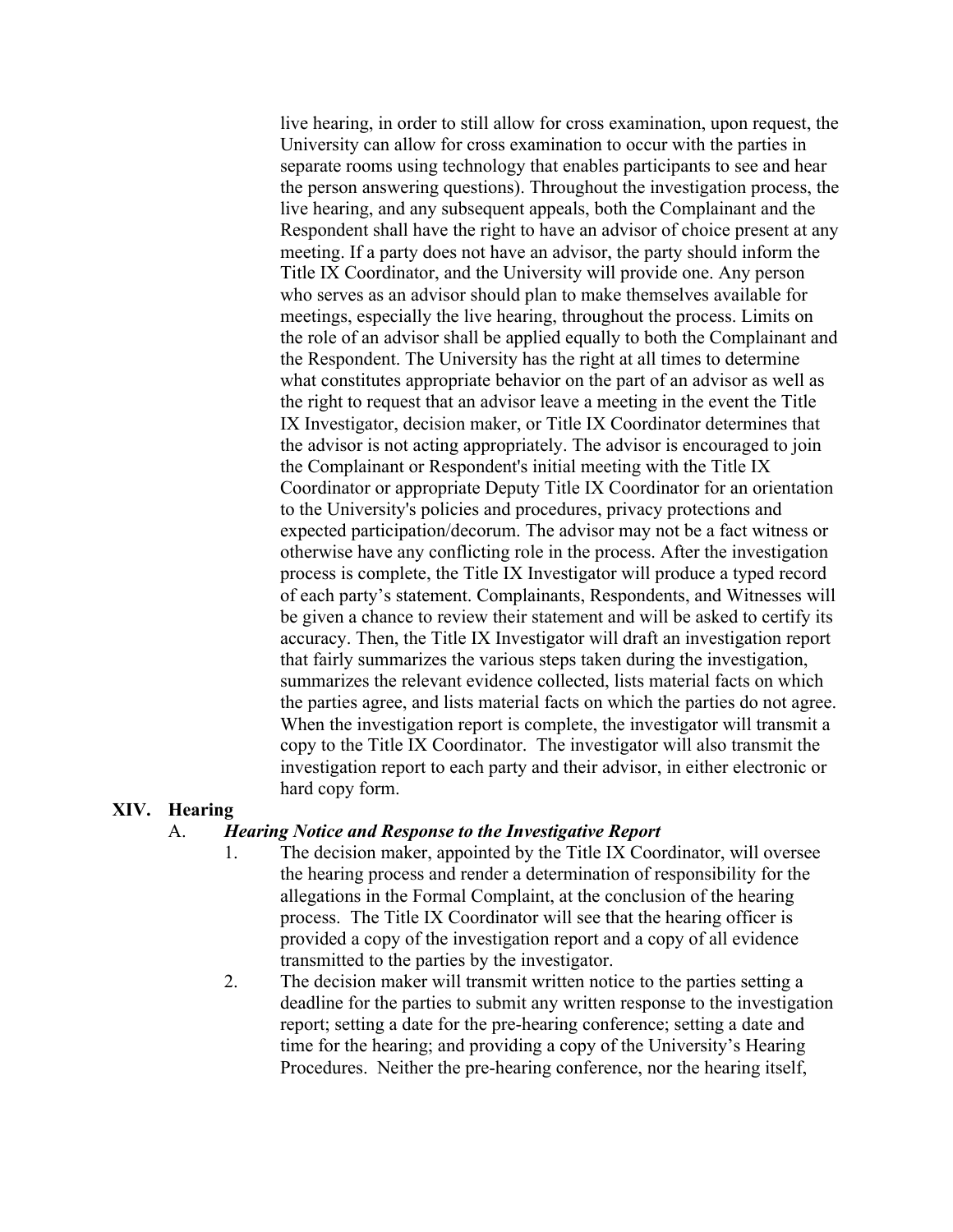live hearing, in order to still allow for cross examination, upon request, the University can allow for cross examination to occur with the parties in separate rooms using technology that enables participants to see and hear the person answering questions). Throughout the investigation process, the live hearing, and any subsequent appeals, both the Complainant and the Respondent shall have the right to have an advisor of choice present at any meeting. If a party does not have an advisor, the party should inform the Title IX Coordinator, and the University will provide one. Any person who serves as an advisor should plan to make themselves available for meetings, especially the live hearing, throughout the process. Limits on the role of an advisor shall be applied equally to both the Complainant and the Respondent. The University has the right at all times to determine what constitutes appropriate behavior on the part of an advisor as well as the right to request that an advisor leave a meeting in the event the Title IX Investigator, decision maker, or Title IX Coordinator determines that the advisor is not acting appropriately. The advisor is encouraged to join the Complainant or Respondent's initial meeting with the Title IX Coordinator or appropriate Deputy Title IX Coordinator for an orientation to the University's policies and procedures, privacy protections and expected participation/decorum. The advisor may not be a fact witness or otherwise have any conflicting role in the process. After the investigation process is complete, the Title IX Investigator will produce a typed record of each party's statement. Complainants, Respondents, and Witnesses will be given a chance to review their statement and will be asked to certify its accuracy. Then, the Title IX Investigator will draft an investigation report that fairly summarizes the various steps taken during the investigation, summarizes the relevant evidence collected, lists material facts on which the parties agree, and lists material facts on which the parties do not agree. When the investigation report is complete, the investigator will transmit a copy to the Title IX Coordinator. The investigator will also transmit the investigation report to each party and their advisor, in either electronic or hard copy form.

#### **XIV. Hearing**

#### A. *Hearing Notice and Response to the Investigative Report*

- 1. The decision maker, appointed by the Title IX Coordinator, will oversee the hearing process and render a determination of responsibility for the allegations in the Formal Complaint, at the conclusion of the hearing process. The Title IX Coordinator will see that the hearing officer is provided a copy of the investigation report and a copy of all evidence transmitted to the parties by the investigator.
- 2. The decision maker will transmit written notice to the parties setting a deadline for the parties to submit any written response to the investigation report; setting a date for the pre-hearing conference; setting a date and time for the hearing; and providing a copy of the University's Hearing Procedures. Neither the pre-hearing conference, nor the hearing itself,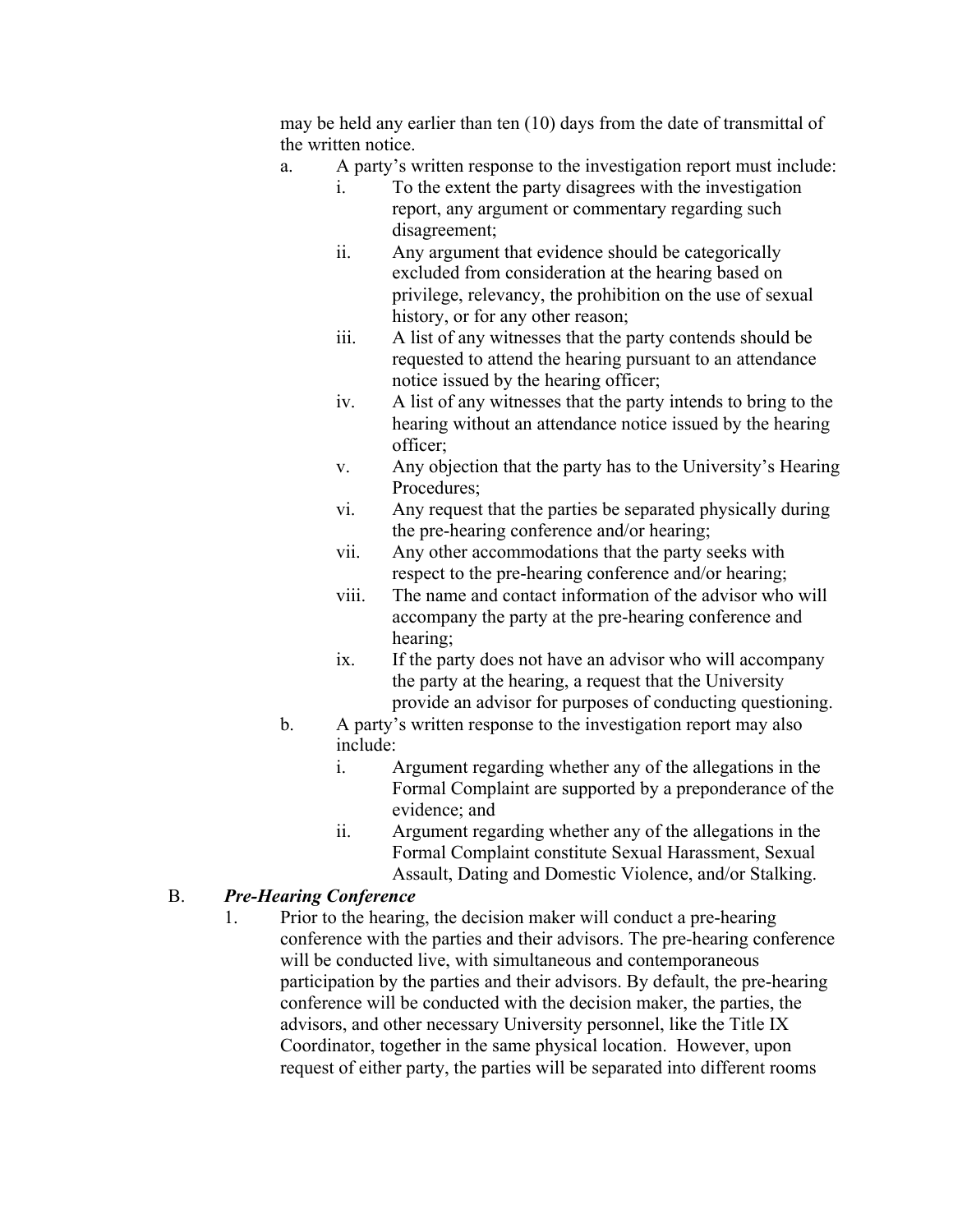may be held any earlier than ten (10) days from the date of transmittal of the written notice.

- a. A party's written response to the investigation report must include:
	- i. To the extent the party disagrees with the investigation report, any argument or commentary regarding such disagreement;
	- ii. Any argument that evidence should be categorically excluded from consideration at the hearing based on privilege, relevancy, the prohibition on the use of sexual history, or for any other reason;
	- iii. A list of any witnesses that the party contends should be requested to attend the hearing pursuant to an attendance notice issued by the hearing officer;
	- iv. A list of any witnesses that the party intends to bring to the hearing without an attendance notice issued by the hearing officer;
	- v. Any objection that the party has to the University's Hearing Procedures;
	- vi. Any request that the parties be separated physically during the pre-hearing conference and/or hearing;
	- vii. Any other accommodations that the party seeks with respect to the pre-hearing conference and/or hearing;
	- viii. The name and contact information of the advisor who will accompany the party at the pre-hearing conference and hearing;
	- ix. If the party does not have an advisor who will accompany the party at the hearing, a request that the University provide an advisor for purposes of conducting questioning.
- b. A party's written response to the investigation report may also include:
	- i. Argument regarding whether any of the allegations in the Formal Complaint are supported by a preponderance of the evidence; and
	- ii. Argument regarding whether any of the allegations in the Formal Complaint constitute Sexual Harassment, Sexual Assault, Dating and Domestic Violence, and/or Stalking.

### B. *Pre-Hearing Conference*

1. Prior to the hearing, the decision maker will conduct a pre-hearing conference with the parties and their advisors. The pre-hearing conference will be conducted live, with simultaneous and contemporaneous participation by the parties and their advisors. By default, the pre-hearing conference will be conducted with the decision maker, the parties, the advisors, and other necessary University personnel, like the Title IX Coordinator, together in the same physical location. However, upon request of either party, the parties will be separated into different rooms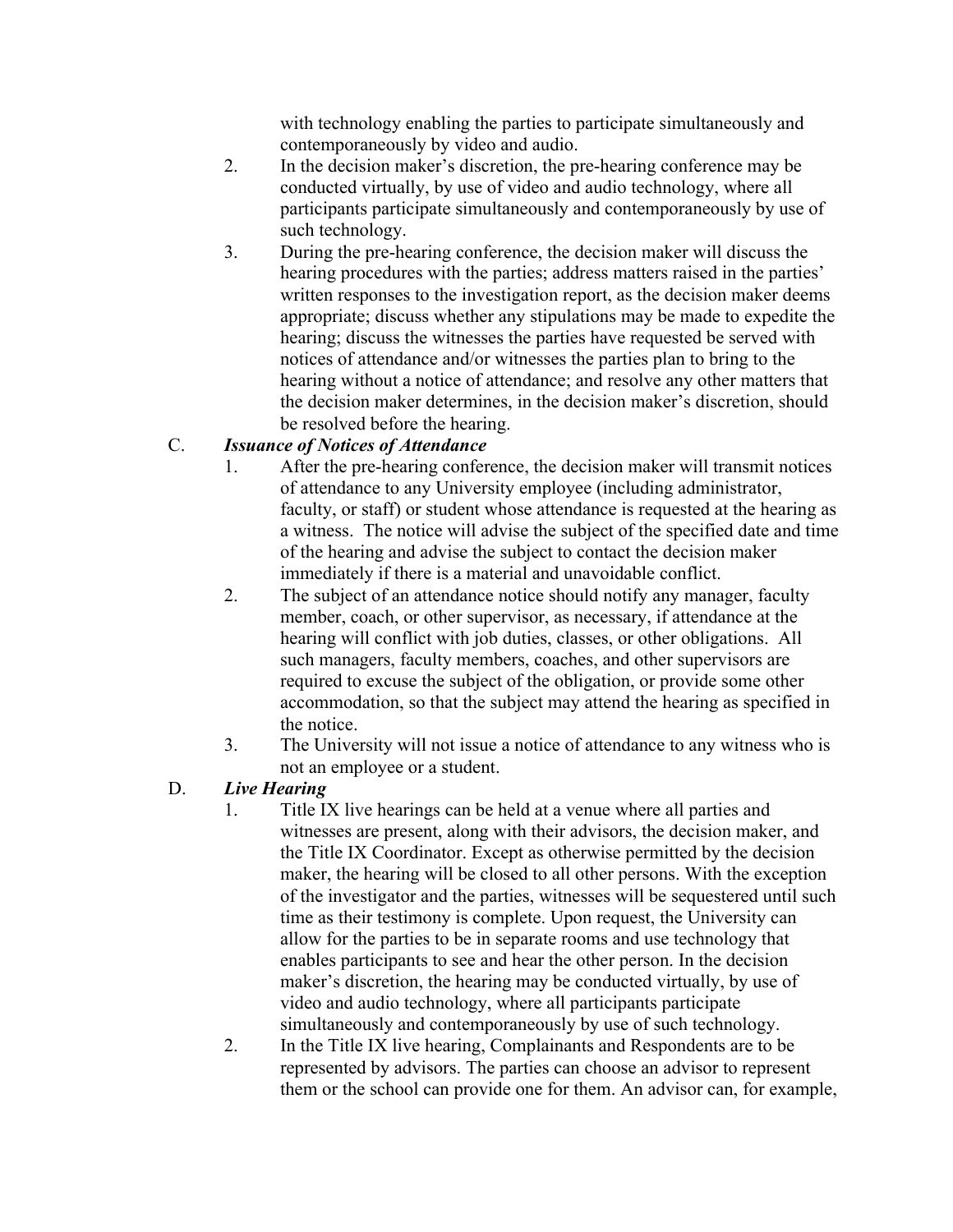with technology enabling the parties to participate simultaneously and contemporaneously by video and audio.

- 2. In the decision maker's discretion, the pre-hearing conference may be conducted virtually, by use of video and audio technology, where all participants participate simultaneously and contemporaneously by use of such technology.
- 3. During the pre-hearing conference, the decision maker will discuss the hearing procedures with the parties; address matters raised in the parties' written responses to the investigation report, as the decision maker deems appropriate; discuss whether any stipulations may be made to expedite the hearing; discuss the witnesses the parties have requested be served with notices of attendance and/or witnesses the parties plan to bring to the hearing without a notice of attendance; and resolve any other matters that the decision maker determines, in the decision maker's discretion, should be resolved before the hearing.

# C. *Issuance of Notices of Attendance*

- 1. After the pre-hearing conference, the decision maker will transmit notices of attendance to any University employee (including administrator, faculty, or staff) or student whose attendance is requested at the hearing as a witness. The notice will advise the subject of the specified date and time of the hearing and advise the subject to contact the decision maker immediately if there is a material and unavoidable conflict.
- 2. The subject of an attendance notice should notify any manager, faculty member, coach, or other supervisor, as necessary, if attendance at the hearing will conflict with job duties, classes, or other obligations. All such managers, faculty members, coaches, and other supervisors are required to excuse the subject of the obligation, or provide some other accommodation, so that the subject may attend the hearing as specified in the notice.
- 3. The University will not issue a notice of attendance to any witness who is not an employee or a student.

### D. *Live Hearing*

- 1. Title IX live hearings can be held at a venue where all parties and witnesses are present, along with their advisors, the decision maker, and the Title IX Coordinator. Except as otherwise permitted by the decision maker, the hearing will be closed to all other persons. With the exception of the investigator and the parties, witnesses will be sequestered until such time as their testimony is complete. Upon request, the University can allow for the parties to be in separate rooms and use technology that enables participants to see and hear the other person. In the decision maker's discretion, the hearing may be conducted virtually, by use of video and audio technology, where all participants participate simultaneously and contemporaneously by use of such technology.
- 2. In the Title IX live hearing, Complainants and Respondents are to be represented by advisors. The parties can choose an advisor to represent them or the school can provide one for them. An advisor can, for example,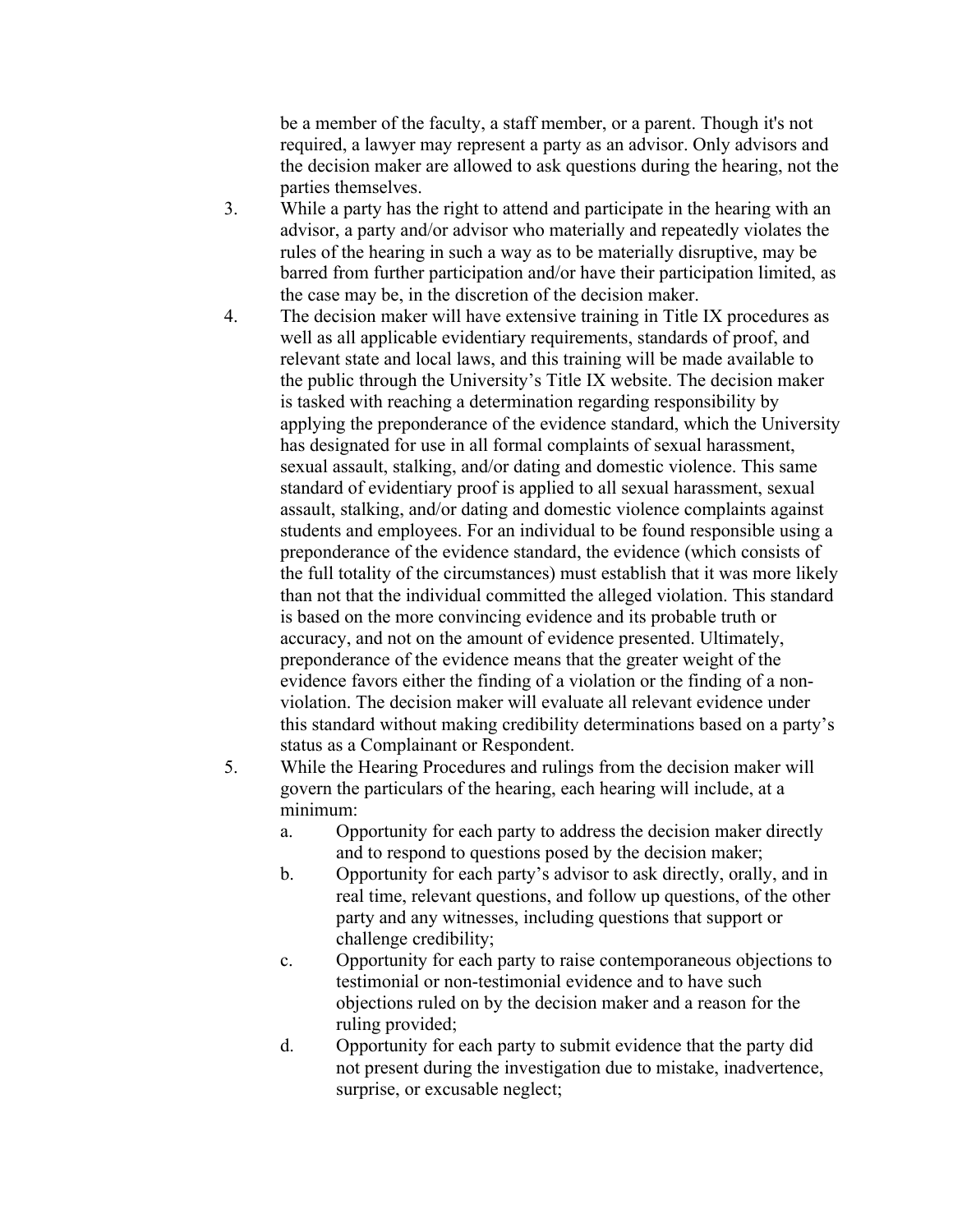be a member of the faculty, a staff member, or a parent. Though it's not required, a lawyer may represent a party as an advisor. Only advisors and the decision maker are allowed to ask questions during the hearing, not the parties themselves.

- 3. While a party has the right to attend and participate in the hearing with an advisor, a party and/or advisor who materially and repeatedly violates the rules of the hearing in such a way as to be materially disruptive, may be barred from further participation and/or have their participation limited, as the case may be, in the discretion of the decision maker.
- 4. The decision maker will have extensive training in Title IX procedures as well as all applicable evidentiary requirements, standards of proof, and relevant state and local laws, and this training will be made available to the public through the University's Title IX website. The decision maker is tasked with reaching a determination regarding responsibility by applying the preponderance of the evidence standard, which the University has designated for use in all formal complaints of sexual harassment, sexual assault, stalking, and/or dating and domestic violence. This same standard of evidentiary proof is applied to all sexual harassment, sexual assault, stalking, and/or dating and domestic violence complaints against students and employees. For an individual to be found responsible using a preponderance of the evidence standard, the evidence (which consists of the full totality of the circumstances) must establish that it was more likely than not that the individual committed the alleged violation. This standard is based on the more convincing evidence and its probable truth or accuracy, and not on the amount of evidence presented. Ultimately, preponderance of the evidence means that the greater weight of the evidence favors either the finding of a violation or the finding of a nonviolation. The decision maker will evaluate all relevant evidence under this standard without making credibility determinations based on a party's status as a Complainant or Respondent.
- 5. While the Hearing Procedures and rulings from the decision maker will govern the particulars of the hearing, each hearing will include, at a minimum:
	- a. Opportunity for each party to address the decision maker directly and to respond to questions posed by the decision maker;
	- b. Opportunity for each party's advisor to ask directly, orally, and in real time, relevant questions, and follow up questions, of the other party and any witnesses, including questions that support or challenge credibility;
	- c. Opportunity for each party to raise contemporaneous objections to testimonial or non-testimonial evidence and to have such objections ruled on by the decision maker and a reason for the ruling provided;
	- d. Opportunity for each party to submit evidence that the party did not present during the investigation due to mistake, inadvertence, surprise, or excusable neglect;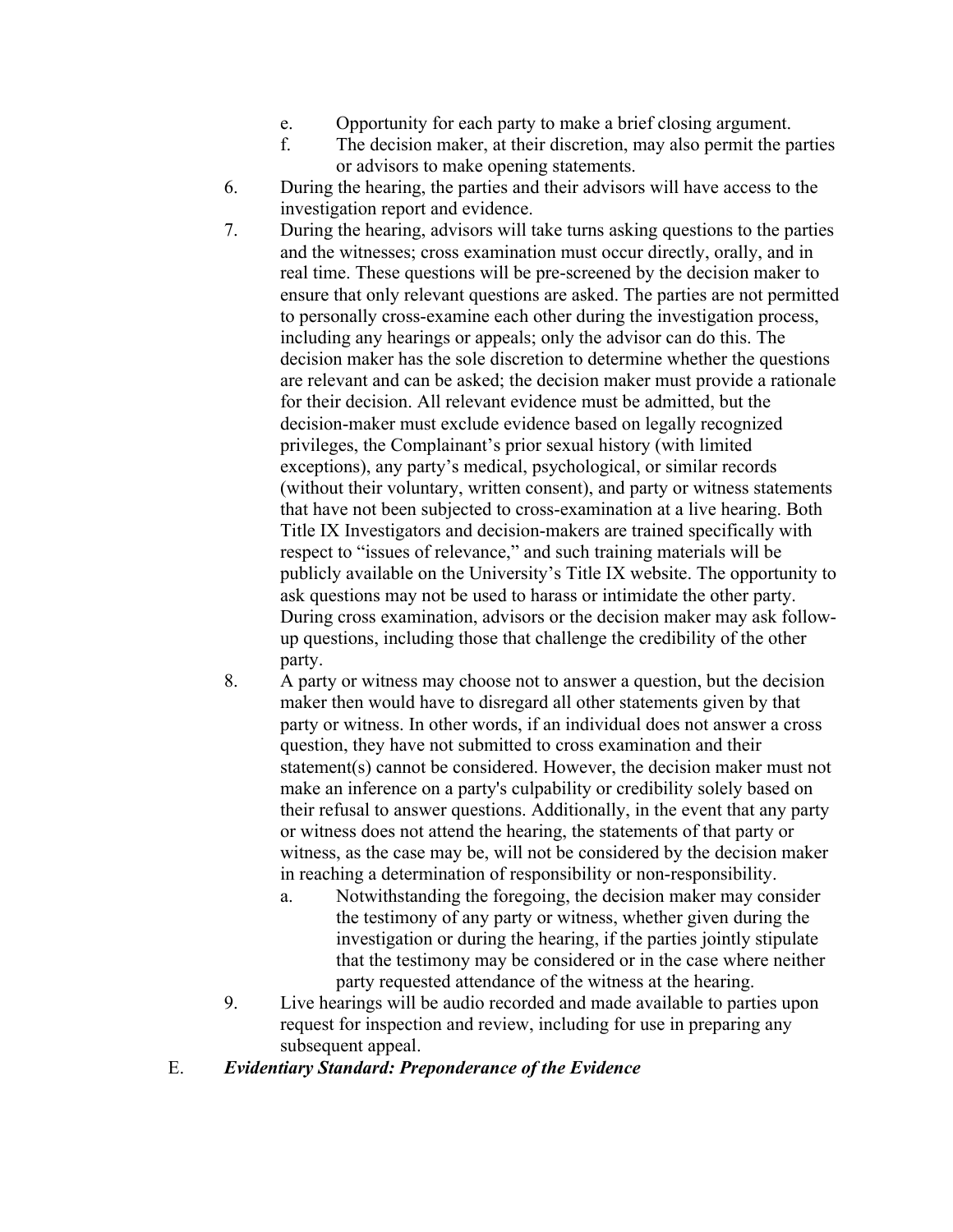- e. Opportunity for each party to make a brief closing argument.
- f. The decision maker, at their discretion, may also permit the parties or advisors to make opening statements.
- 6. During the hearing, the parties and their advisors will have access to the investigation report and evidence.
- 7. During the hearing, advisors will take turns asking questions to the parties and the witnesses; cross examination must occur directly, orally, and in real time. These questions will be pre-screened by the decision maker to ensure that only relevant questions are asked. The parties are not permitted to personally cross-examine each other during the investigation process, including any hearings or appeals; only the advisor can do this. The decision maker has the sole discretion to determine whether the questions are relevant and can be asked; the decision maker must provide a rationale for their decision. All relevant evidence must be admitted, but the decision-maker must exclude evidence based on legally recognized privileges, the Complainant's prior sexual history (with limited exceptions), any party's medical, psychological, or similar records (without their voluntary, written consent), and party or witness statements that have not been subjected to cross-examination at a live hearing. Both Title IX Investigators and decision-makers are trained specifically with respect to "issues of relevance," and such training materials will be publicly available on the University's Title IX website. The opportunity to ask questions may not be used to harass or intimidate the other party. During cross examination, advisors or the decision maker may ask followup questions, including those that challenge the credibility of the other party.
- 8. A party or witness may choose not to answer a question, but the decision maker then would have to disregard all other statements given by that party or witness. In other words, if an individual does not answer a cross question, they have not submitted to cross examination and their statement(s) cannot be considered. However, the decision maker must not make an inference on a party's culpability or credibility solely based on their refusal to answer questions. Additionally, in the event that any party or witness does not attend the hearing, the statements of that party or witness, as the case may be, will not be considered by the decision maker in reaching a determination of responsibility or non-responsibility.
	- a. Notwithstanding the foregoing, the decision maker may consider the testimony of any party or witness, whether given during the investigation or during the hearing, if the parties jointly stipulate that the testimony may be considered or in the case where neither party requested attendance of the witness at the hearing.
- 9. Live hearings will be audio recorded and made available to parties upon request for inspection and review, including for use in preparing any subsequent appeal.
- E. *Evidentiary Standard: Preponderance of the Evidence*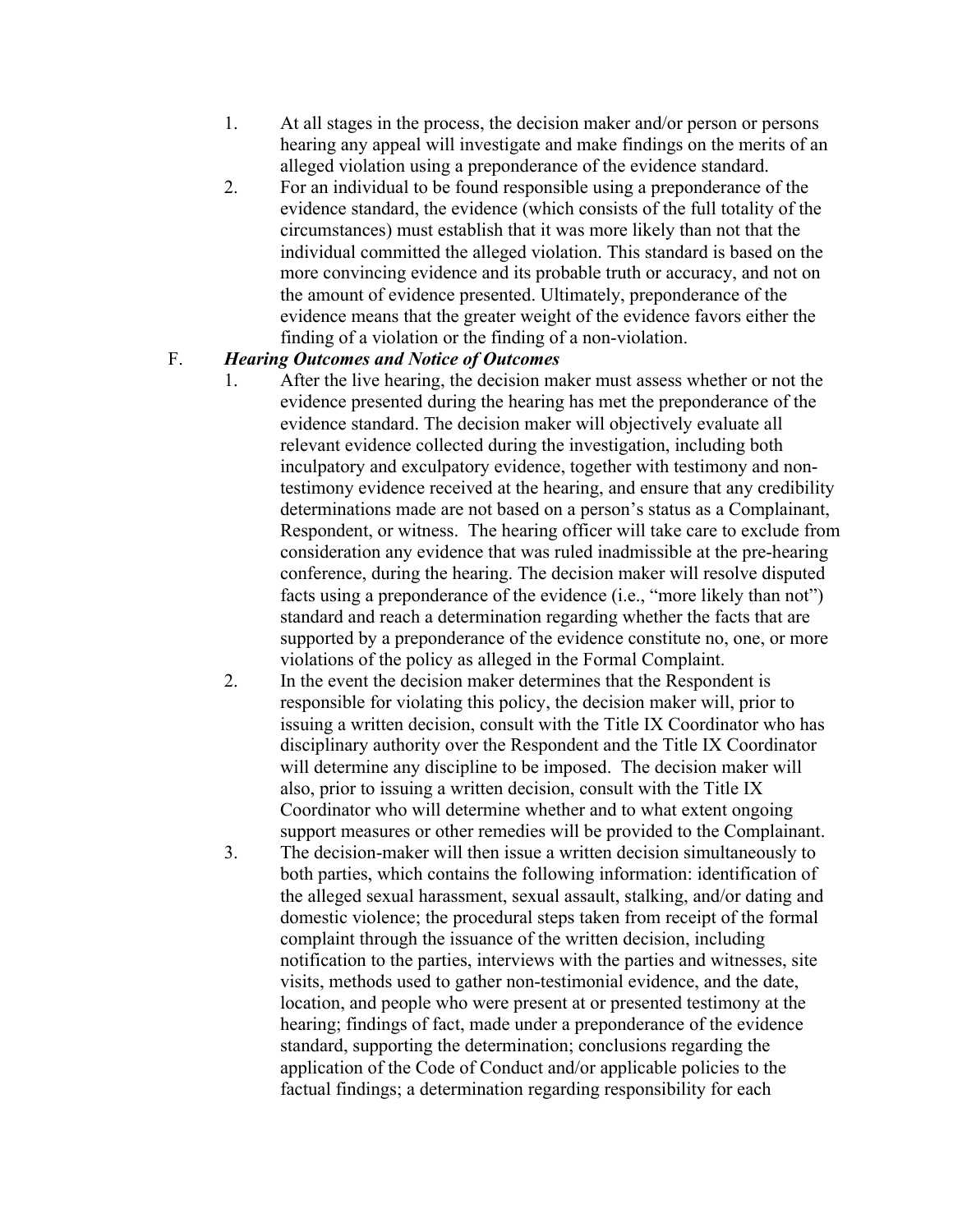- 1. At all stages in the process, the decision maker and/or person or persons hearing any appeal will investigate and make findings on the merits of an alleged violation using a preponderance of the evidence standard.
- 2. For an individual to be found responsible using a preponderance of the evidence standard, the evidence (which consists of the full totality of the circumstances) must establish that it was more likely than not that the individual committed the alleged violation. This standard is based on the more convincing evidence and its probable truth or accuracy, and not on the amount of evidence presented. Ultimately, preponderance of the evidence means that the greater weight of the evidence favors either the finding of a violation or the finding of a non-violation.

### F. *Hearing Outcomes and Notice of Outcomes*

- 1. After the live hearing, the decision maker must assess whether or not the evidence presented during the hearing has met the preponderance of the evidence standard. The decision maker will objectively evaluate all relevant evidence collected during the investigation, including both inculpatory and exculpatory evidence, together with testimony and nontestimony evidence received at the hearing, and ensure that any credibility determinations made are not based on a person's status as a Complainant, Respondent, or witness. The hearing officer will take care to exclude from consideration any evidence that was ruled inadmissible at the pre-hearing conference, during the hearing. The decision maker will resolve disputed facts using a preponderance of the evidence (i.e., "more likely than not") standard and reach a determination regarding whether the facts that are supported by a preponderance of the evidence constitute no, one, or more violations of the policy as alleged in the Formal Complaint.
- 2. In the event the decision maker determines that the Respondent is responsible for violating this policy, the decision maker will, prior to issuing a written decision, consult with the Title IX Coordinator who has disciplinary authority over the Respondent and the Title IX Coordinator will determine any discipline to be imposed. The decision maker will also, prior to issuing a written decision, consult with the Title IX Coordinator who will determine whether and to what extent ongoing support measures or other remedies will be provided to the Complainant.
- 3. The decision-maker will then issue a written decision simultaneously to both parties, which contains the following information: identification of the alleged sexual harassment, sexual assault, stalking, and/or dating and domestic violence; the procedural steps taken from receipt of the formal complaint through the issuance of the written decision, including notification to the parties, interviews with the parties and witnesses, site visits, methods used to gather non-testimonial evidence, and the date, location, and people who were present at or presented testimony at the hearing; findings of fact, made under a preponderance of the evidence standard, supporting the determination; conclusions regarding the application of the Code of Conduct and/or applicable policies to the factual findings; a determination regarding responsibility for each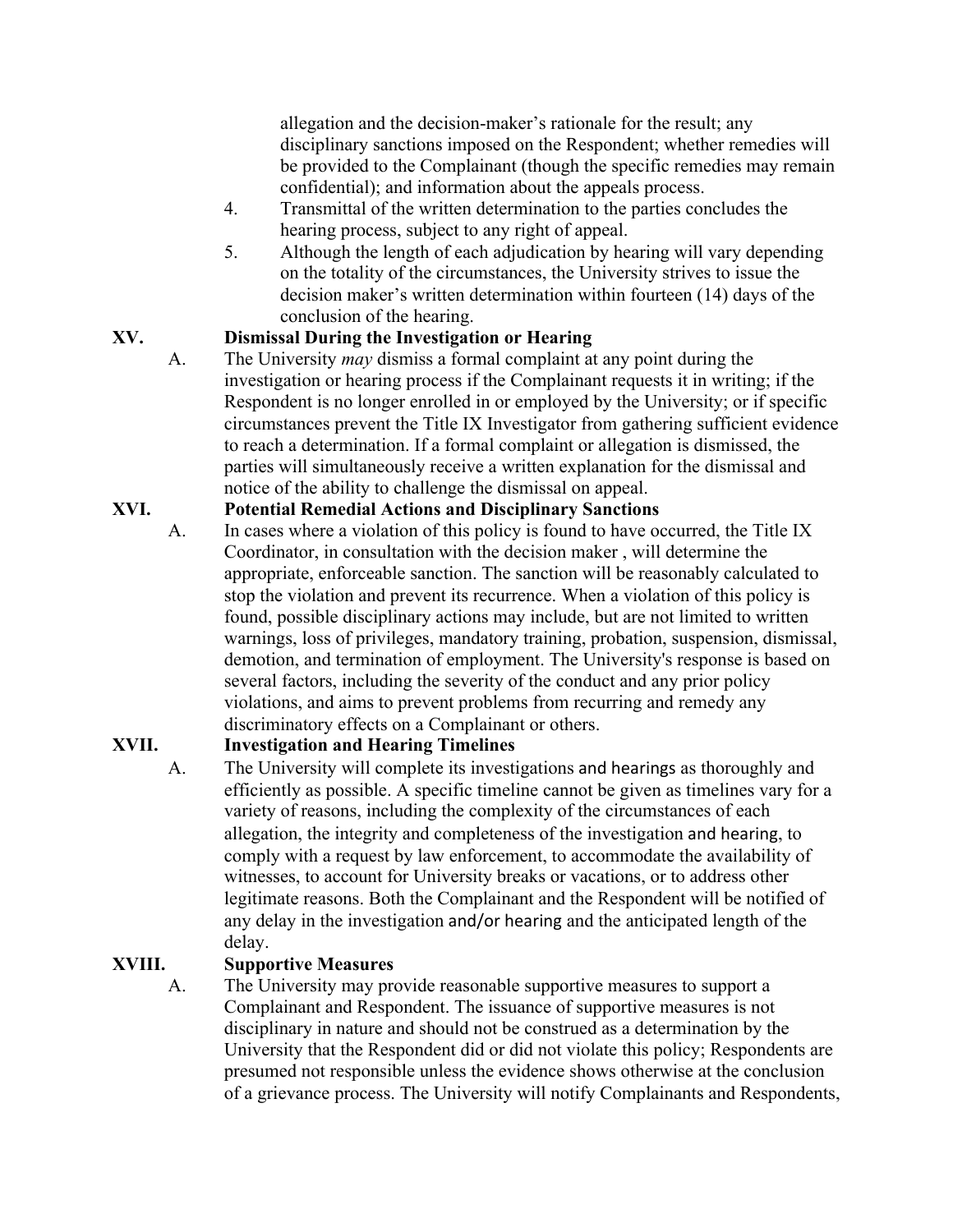allegation and the decision-maker's rationale for the result; any disciplinary sanctions imposed on the Respondent; whether remedies will be provided to the Complainant (though the specific remedies may remain confidential); and information about the appeals process.

- 4. Transmittal of the written determination to the parties concludes the hearing process, subject to any right of appeal.
- 5. Although the length of each adjudication by hearing will vary depending on the totality of the circumstances, the University strives to issue the decision maker's written determination within fourteen (14) days of the conclusion of the hearing.

# **XV. Dismissal During the Investigation or Hearing**

A. The University *may* dismiss a formal complaint at any point during the investigation or hearing process if the Complainant requests it in writing; if the Respondent is no longer enrolled in or employed by the University; or if specific circumstances prevent the Title IX Investigator from gathering sufficient evidence to reach a determination. If a formal complaint or allegation is dismissed, the parties will simultaneously receive a written explanation for the dismissal and notice of the ability to challenge the dismissal on appeal.

### **XVI. Potential Remedial Actions and Disciplinary Sanctions**

A. In cases where a violation of this policy is found to have occurred, the Title IX Coordinator, in consultation with the decision maker , will determine the appropriate, enforceable sanction. The sanction will be reasonably calculated to stop the violation and prevent its recurrence. When a violation of this policy is found, possible disciplinary actions may include, but are not limited to written warnings, loss of privileges, mandatory training, probation, suspension, dismissal, demotion, and termination of employment. The University's response is based on several factors, including the severity of the conduct and any prior policy violations, and aims to prevent problems from recurring and remedy any discriminatory effects on a Complainant or others.

# **XVII. Investigation and Hearing Timelines**

A. The University will complete its investigations and hearings as thoroughly and efficiently as possible. A specific timeline cannot be given as timelines vary for a variety of reasons, including the complexity of the circumstances of each allegation, the integrity and completeness of the investigation and hearing, to comply with a request by law enforcement, to accommodate the availability of witnesses, to account for University breaks or vacations, or to address other legitimate reasons. Both the Complainant and the Respondent will be notified of any delay in the investigation and/or hearing and the anticipated length of the delay.

# **XVIII. Supportive Measures**

A. The University may provide reasonable supportive measures to support a Complainant and Respondent. The issuance of supportive measures is not disciplinary in nature and should not be construed as a determination by the University that the Respondent did or did not violate this policy; Respondents are presumed not responsible unless the evidence shows otherwise at the conclusion of a grievance process. The University will notify Complainants and Respondents,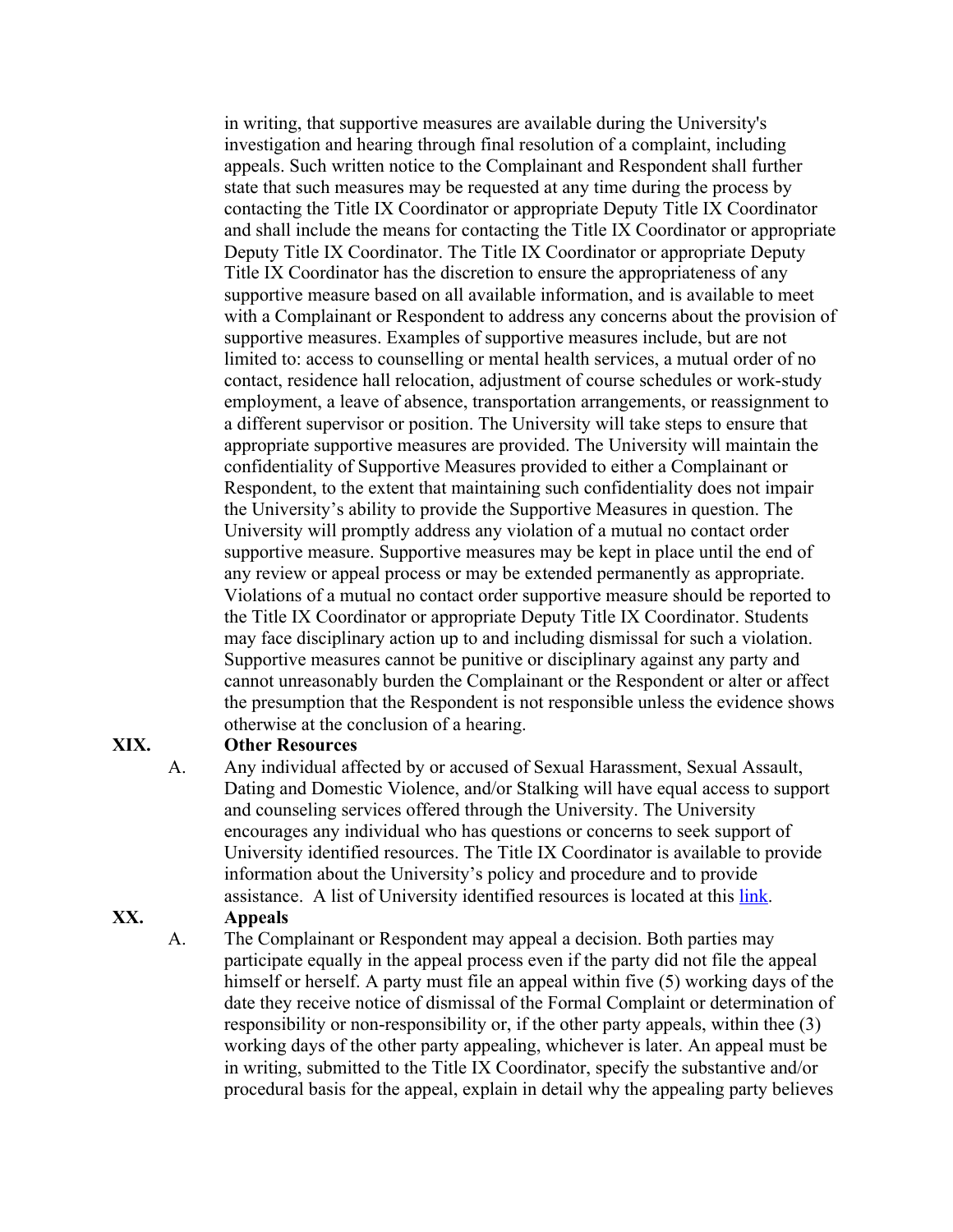in writing, that supportive measures are available during the University's investigation and hearing through final resolution of a complaint, including appeals. Such written notice to the Complainant and Respondent shall further state that such measures may be requested at any time during the process by contacting the Title IX Coordinator or appropriate Deputy Title IX Coordinator and shall include the means for contacting the Title IX Coordinator or appropriate Deputy Title IX Coordinator. The Title IX Coordinator or appropriate Deputy Title IX Coordinator has the discretion to ensure the appropriateness of any supportive measure based on all available information, and is available to meet with a Complainant or Respondent to address any concerns about the provision of supportive measures. Examples of supportive measures include, but are not limited to: access to counselling or mental health services, a mutual order of no contact, residence hall relocation, adjustment of course schedules or work-study employment, a leave of absence, transportation arrangements, or reassignment to a different supervisor or position. The University will take steps to ensure that appropriate supportive measures are provided. The University will maintain the confidentiality of Supportive Measures provided to either a Complainant or Respondent, to the extent that maintaining such confidentiality does not impair the University's ability to provide the Supportive Measures in question. The University will promptly address any violation of a mutual no contact order supportive measure. Supportive measures may be kept in place until the end of any review or appeal process or may be extended permanently as appropriate. Violations of a mutual no contact order supportive measure should be reported to the Title IX Coordinator or appropriate Deputy Title IX Coordinator. Students may face disciplinary action up to and including dismissal for such a violation. Supportive measures cannot be punitive or disciplinary against any party and cannot unreasonably burden the Complainant or the Respondent or alter or affect the presumption that the Respondent is not responsible unless the evidence shows otherwise at the conclusion of a hearing.

#### **XIX. Other Resources**

A. Any individual affected by or accused of Sexual Harassment, Sexual Assault, Dating and Domestic Violence, and/or Stalking will have equal access to support and counseling services offered through the University. The University encourages any individual who has questions or concerns to seek support of University identified resources. The Title IX Coordinator is available to provide information about the University's policy and procedure and to provide assistance. A list of University identified resources is located at this link.

### **XX. Appeals**

A. The Complainant or Respondent may appeal a decision. Both parties may participate equally in the appeal process even if the party did not file the appeal himself or herself. A party must file an appeal within five (5) working days of the date they receive notice of dismissal of the Formal Complaint or determination of responsibility or non-responsibility or, if the other party appeals, within thee (3) working days of the other party appealing, whichever is later. An appeal must be in writing, submitted to the Title IX Coordinator, specify the substantive and/or procedural basis for the appeal, explain in detail why the appealing party believes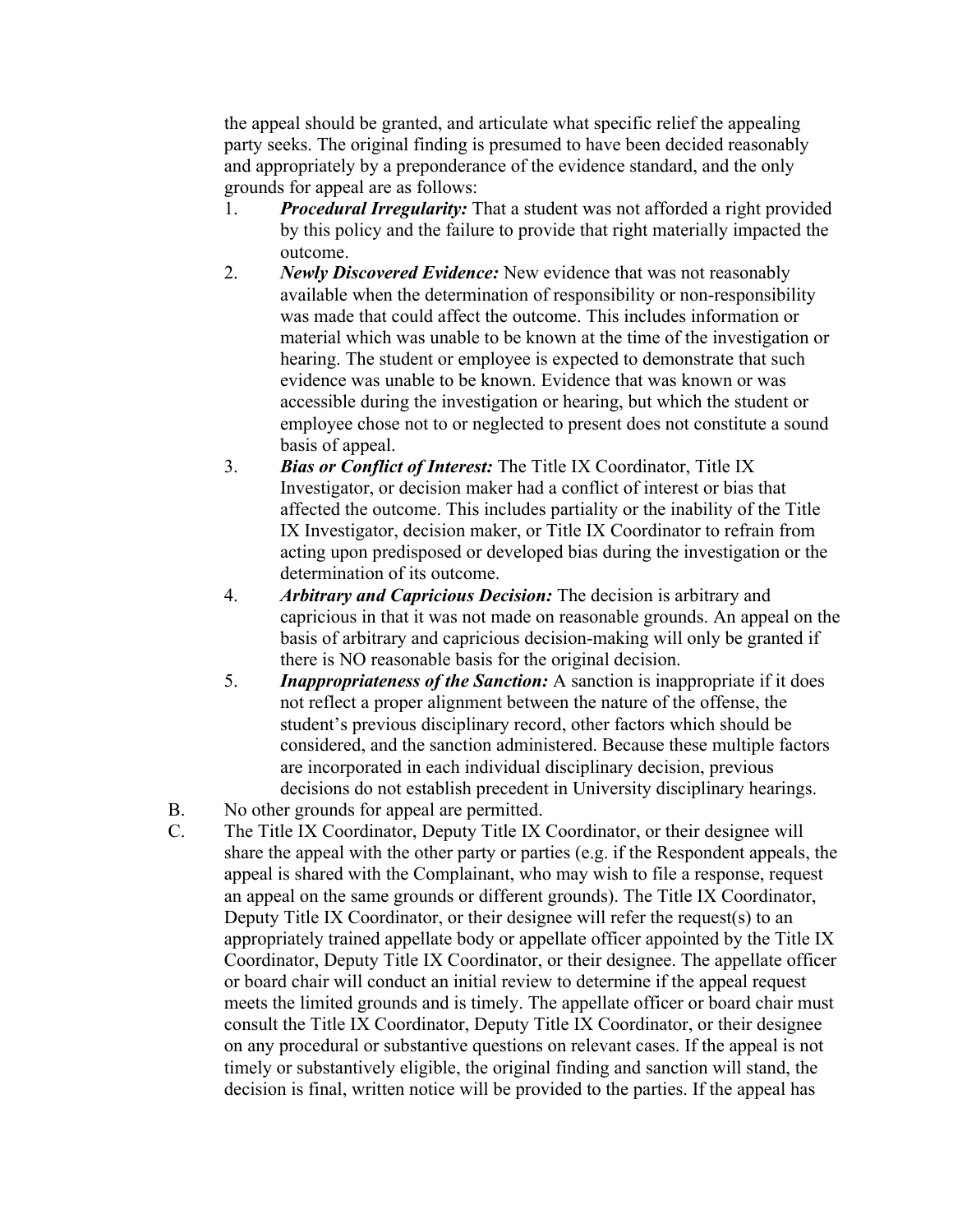the appeal should be granted, and articulate what specific relief the appealing party seeks. The original finding is presumed to have been decided reasonably and appropriately by a preponderance of the evidence standard, and the only grounds for appeal are as follows:

- 1. *Procedural Irregularity:* That a student was not afforded a right provided by this policy and the failure to provide that right materially impacted the outcome.
- 2. *Newly Discovered Evidence:* New evidence that was not reasonably available when the determination of responsibility or non-responsibility was made that could affect the outcome. This includes information or material which was unable to be known at the time of the investigation or hearing. The student or employee is expected to demonstrate that such evidence was unable to be known. Evidence that was known or was accessible during the investigation or hearing, but which the student or employee chose not to or neglected to present does not constitute a sound basis of appeal.
- 3. *Bias or Conflict of Interest:* The Title IX Coordinator, Title IX Investigator, or decision maker had a conflict of interest or bias that affected the outcome. This includes partiality or the inability of the Title IX Investigator, decision maker, or Title IX Coordinator to refrain from acting upon predisposed or developed bias during the investigation or the determination of its outcome.
- 4. *Arbitrary and Capricious Decision:* The decision is arbitrary and capricious in that it was not made on reasonable grounds. An appeal on the basis of arbitrary and capricious decision-making will only be granted if there is NO reasonable basis for the original decision.
- 5. *Inappropriateness of the Sanction:* A sanction is inappropriate if it does not reflect a proper alignment between the nature of the offense, the student's previous disciplinary record, other factors which should be considered, and the sanction administered. Because these multiple factors are incorporated in each individual disciplinary decision, previous decisions do not establish precedent in University disciplinary hearings.
- B. No other grounds for appeal are permitted.
- C. The Title IX Coordinator, Deputy Title IX Coordinator, or their designee will share the appeal with the other party or parties (e.g. if the Respondent appeals, the appeal is shared with the Complainant, who may wish to file a response, request an appeal on the same grounds or different grounds). The Title IX Coordinator, Deputy Title IX Coordinator, or their designee will refer the request(s) to an appropriately trained appellate body or appellate officer appointed by the Title IX Coordinator, Deputy Title IX Coordinator, or their designee. The appellate officer or board chair will conduct an initial review to determine if the appeal request meets the limited grounds and is timely. The appellate officer or board chair must consult the Title IX Coordinator, Deputy Title IX Coordinator, or their designee on any procedural or substantive questions on relevant cases. If the appeal is not timely or substantively eligible, the original finding and sanction will stand, the decision is final, written notice will be provided to the parties. If the appeal has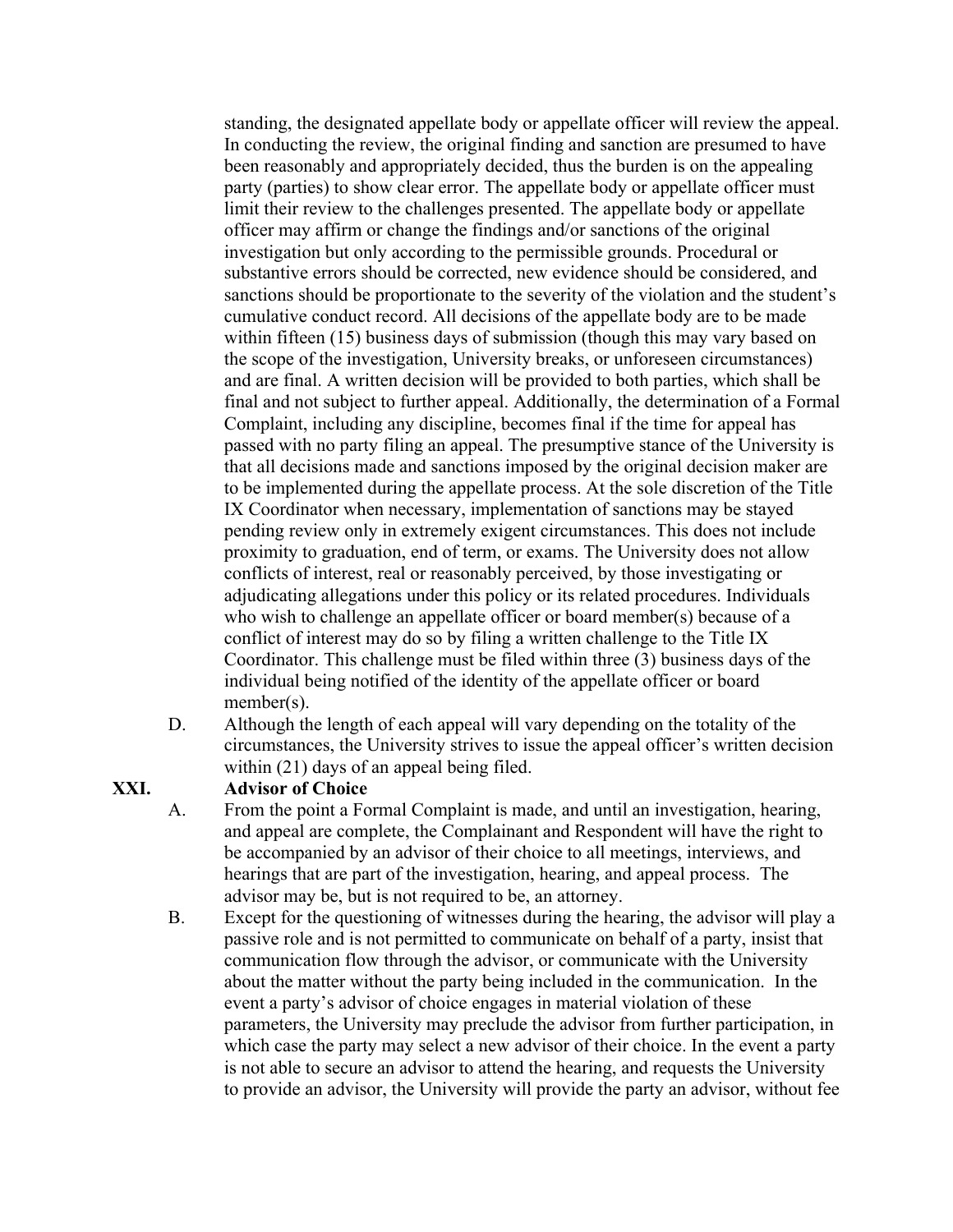standing, the designated appellate body or appellate officer will review the appeal. In conducting the review, the original finding and sanction are presumed to have been reasonably and appropriately decided, thus the burden is on the appealing party (parties) to show clear error. The appellate body or appellate officer must limit their review to the challenges presented. The appellate body or appellate officer may affirm or change the findings and/or sanctions of the original investigation but only according to the permissible grounds. Procedural or substantive errors should be corrected, new evidence should be considered, and sanctions should be proportionate to the severity of the violation and the student's cumulative conduct record. All decisions of the appellate body are to be made within fifteen (15) business days of submission (though this may vary based on the scope of the investigation, University breaks, or unforeseen circumstances) and are final. A written decision will be provided to both parties, which shall be final and not subject to further appeal. Additionally, the determination of a Formal Complaint, including any discipline, becomes final if the time for appeal has passed with no party filing an appeal. The presumptive stance of the University is that all decisions made and sanctions imposed by the original decision maker are to be implemented during the appellate process. At the sole discretion of the Title IX Coordinator when necessary, implementation of sanctions may be stayed pending review only in extremely exigent circumstances. This does not include proximity to graduation, end of term, or exams. The University does not allow conflicts of interest, real or reasonably perceived, by those investigating or adjudicating allegations under this policy or its related procedures. Individuals who wish to challenge an appellate officer or board member(s) because of a conflict of interest may do so by filing a written challenge to the Title IX Coordinator. This challenge must be filed within three (3) business days of the individual being notified of the identity of the appellate officer or board member(s).

D. Although the length of each appeal will vary depending on the totality of the circumstances, the University strives to issue the appeal officer's written decision within (21) days of an appeal being filed.

#### **XXI. Advisor of Choice**

- A. From the point a Formal Complaint is made, and until an investigation, hearing, and appeal are complete, the Complainant and Respondent will have the right to be accompanied by an advisor of their choice to all meetings, interviews, and hearings that are part of the investigation, hearing, and appeal process. The advisor may be, but is not required to be, an attorney.
- B. Except for the questioning of witnesses during the hearing, the advisor will play a passive role and is not permitted to communicate on behalf of a party, insist that communication flow through the advisor, or communicate with the University about the matter without the party being included in the communication. In the event a party's advisor of choice engages in material violation of these parameters, the University may preclude the advisor from further participation, in which case the party may select a new advisor of their choice. In the event a party is not able to secure an advisor to attend the hearing, and requests the University to provide an advisor, the University will provide the party an advisor, without fee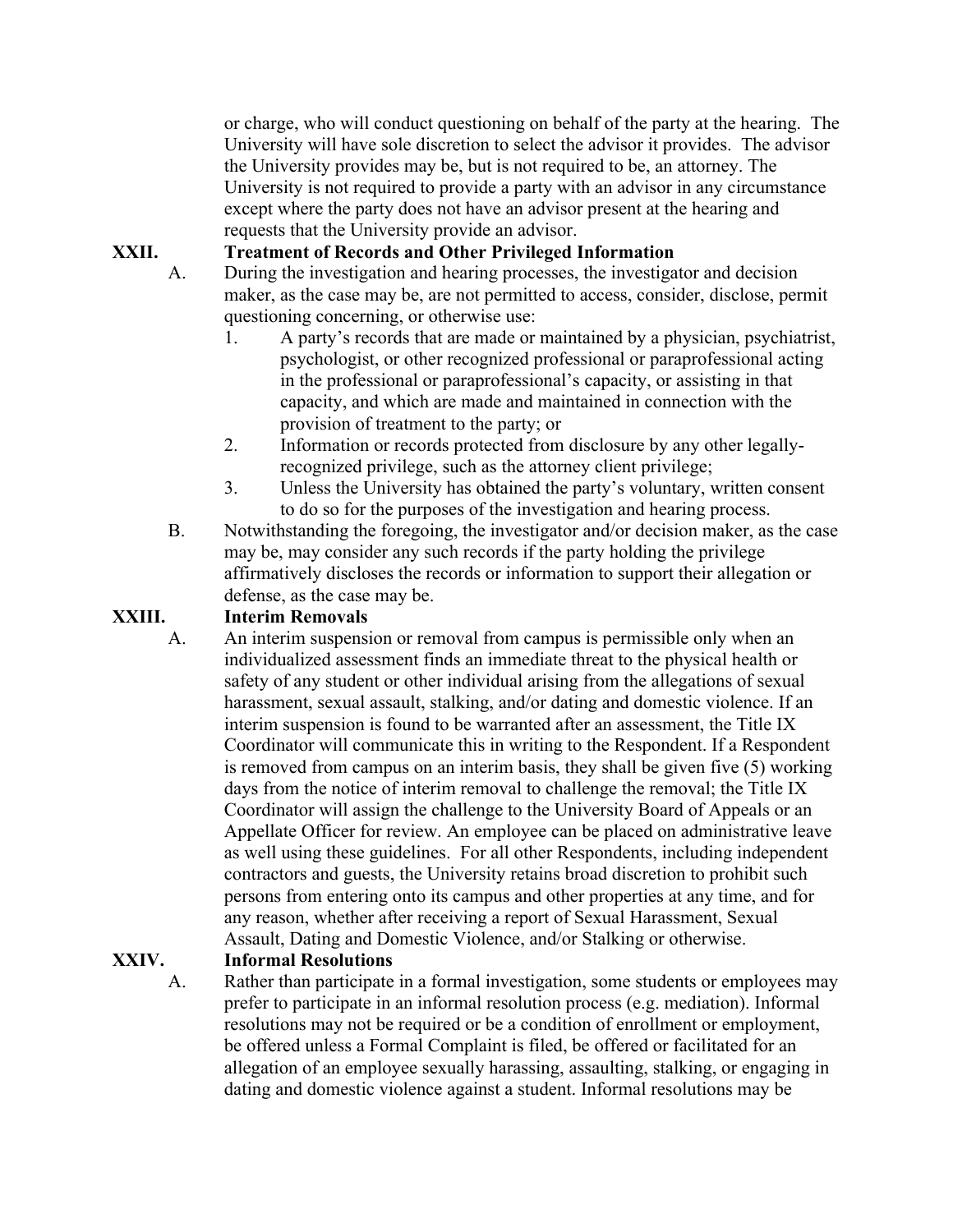or charge, who will conduct questioning on behalf of the party at the hearing. The University will have sole discretion to select the advisor it provides. The advisor the University provides may be, but is not required to be, an attorney. The University is not required to provide a party with an advisor in any circumstance except where the party does not have an advisor present at the hearing and requests that the University provide an advisor.

### **XXII. Treatment of Records and Other Privileged Information**

- A. During the investigation and hearing processes, the investigator and decision maker, as the case may be, are not permitted to access, consider, disclose, permit questioning concerning, or otherwise use:
	- 1. A party's records that are made or maintained by a physician, psychiatrist, psychologist, or other recognized professional or paraprofessional acting in the professional or paraprofessional's capacity, or assisting in that capacity, and which are made and maintained in connection with the provision of treatment to the party; or
	- 2. Information or records protected from disclosure by any other legallyrecognized privilege, such as the attorney client privilege;
	- 3. Unless the University has obtained the party's voluntary, written consent to do so for the purposes of the investigation and hearing process.
- B. Notwithstanding the foregoing, the investigator and/or decision maker, as the case may be, may consider any such records if the party holding the privilege affirmatively discloses the records or information to support their allegation or defense, as the case may be.

# **XXIII. Interim Removals**

A. An interim suspension or removal from campus is permissible only when an individualized assessment finds an immediate threat to the physical health or safety of any student or other individual arising from the allegations of sexual harassment, sexual assault, stalking, and/or dating and domestic violence. If an interim suspension is found to be warranted after an assessment, the Title IX Coordinator will communicate this in writing to the Respondent. If a Respondent is removed from campus on an interim basis, they shall be given five (5) working days from the notice of interim removal to challenge the removal; the Title IX Coordinator will assign the challenge to the University Board of Appeals or an Appellate Officer for review. An employee can be placed on administrative leave as well using these guidelines. For all other Respondents, including independent contractors and guests, the University retains broad discretion to prohibit such persons from entering onto its campus and other properties at any time, and for any reason, whether after receiving a report of Sexual Harassment, Sexual Assault, Dating and Domestic Violence, and/or Stalking or otherwise.

# **XXIV. Informal Resolutions**

A. Rather than participate in a formal investigation, some students or employees may prefer to participate in an informal resolution process (e.g. mediation). Informal resolutions may not be required or be a condition of enrollment or employment, be offered unless a Formal Complaint is filed, be offered or facilitated for an allegation of an employee sexually harassing, assaulting, stalking, or engaging in dating and domestic violence against a student. Informal resolutions may be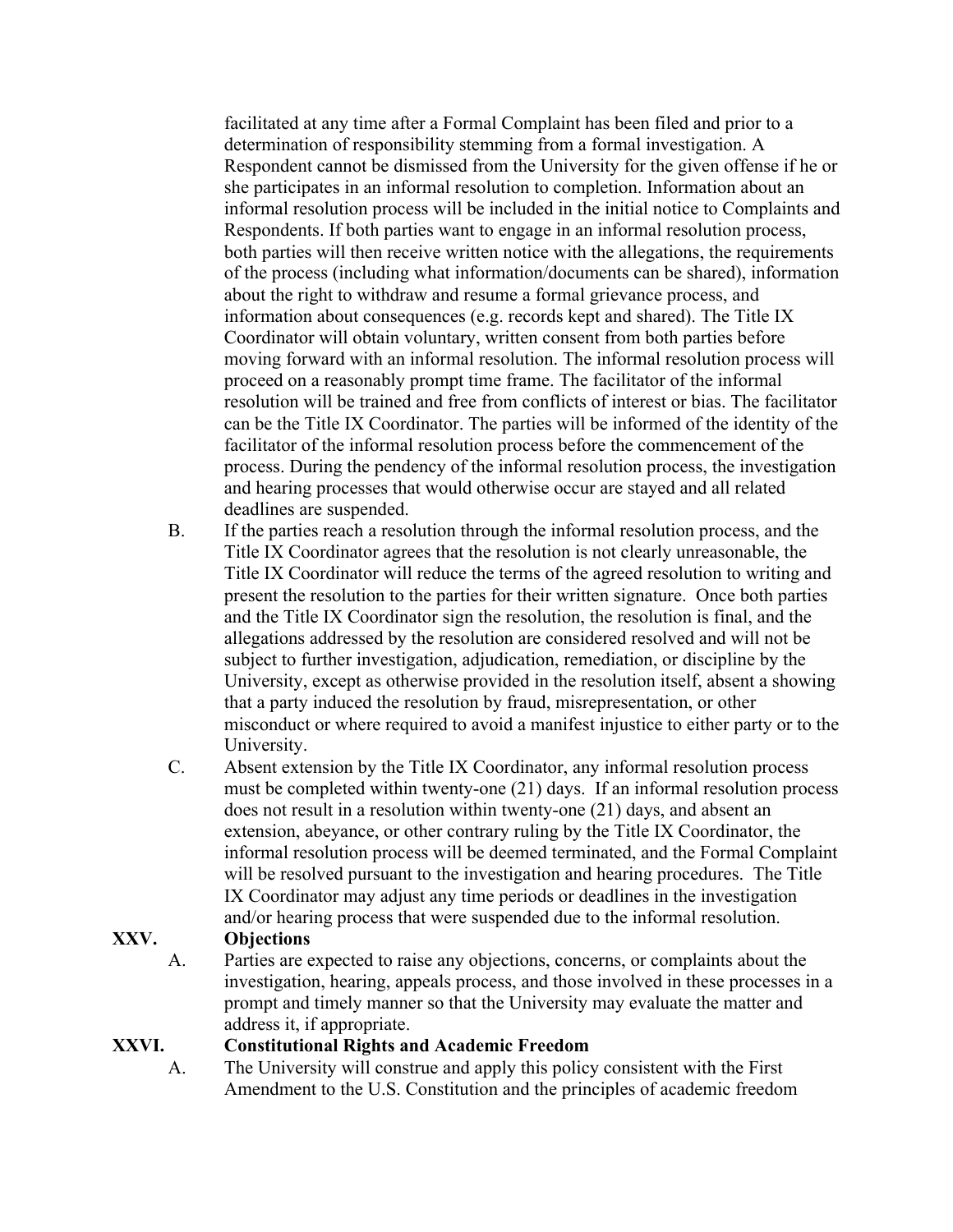facilitated at any time after a Formal Complaint has been filed and prior to a determination of responsibility stemming from a formal investigation. A Respondent cannot be dismissed from the University for the given offense if he or she participates in an informal resolution to completion. Information about an informal resolution process will be included in the initial notice to Complaints and Respondents. If both parties want to engage in an informal resolution process, both parties will then receive written notice with the allegations, the requirements of the process (including what information/documents can be shared), information about the right to withdraw and resume a formal grievance process, and information about consequences (e.g. records kept and shared). The Title IX Coordinator will obtain voluntary, written consent from both parties before moving forward with an informal resolution. The informal resolution process will proceed on a reasonably prompt time frame. The facilitator of the informal resolution will be trained and free from conflicts of interest or bias. The facilitator can be the Title IX Coordinator. The parties will be informed of the identity of the facilitator of the informal resolution process before the commencement of the process. During the pendency of the informal resolution process, the investigation and hearing processes that would otherwise occur are stayed and all related deadlines are suspended.

- B. If the parties reach a resolution through the informal resolution process, and the Title IX Coordinator agrees that the resolution is not clearly unreasonable, the Title IX Coordinator will reduce the terms of the agreed resolution to writing and present the resolution to the parties for their written signature. Once both parties and the Title IX Coordinator sign the resolution, the resolution is final, and the allegations addressed by the resolution are considered resolved and will not be subject to further investigation, adjudication, remediation, or discipline by the University, except as otherwise provided in the resolution itself, absent a showing that a party induced the resolution by fraud, misrepresentation, or other misconduct or where required to avoid a manifest injustice to either party or to the University.
- C. Absent extension by the Title IX Coordinator, any informal resolution process must be completed within twenty-one (21) days. If an informal resolution process does not result in a resolution within twenty-one (21) days, and absent an extension, abeyance, or other contrary ruling by the Title IX Coordinator, the informal resolution process will be deemed terminated, and the Formal Complaint will be resolved pursuant to the investigation and hearing procedures. The Title IX Coordinator may adjust any time periods or deadlines in the investigation and/or hearing process that were suspended due to the informal resolution.

# **XXV. Objections**

A. Parties are expected to raise any objections, concerns, or complaints about the investigation, hearing, appeals process, and those involved in these processes in a prompt and timely manner so that the University may evaluate the matter and address it, if appropriate.

### **XXVI. Constitutional Rights and Academic Freedom**

A. The University will construe and apply this policy consistent with the First Amendment to the U.S. Constitution and the principles of academic freedom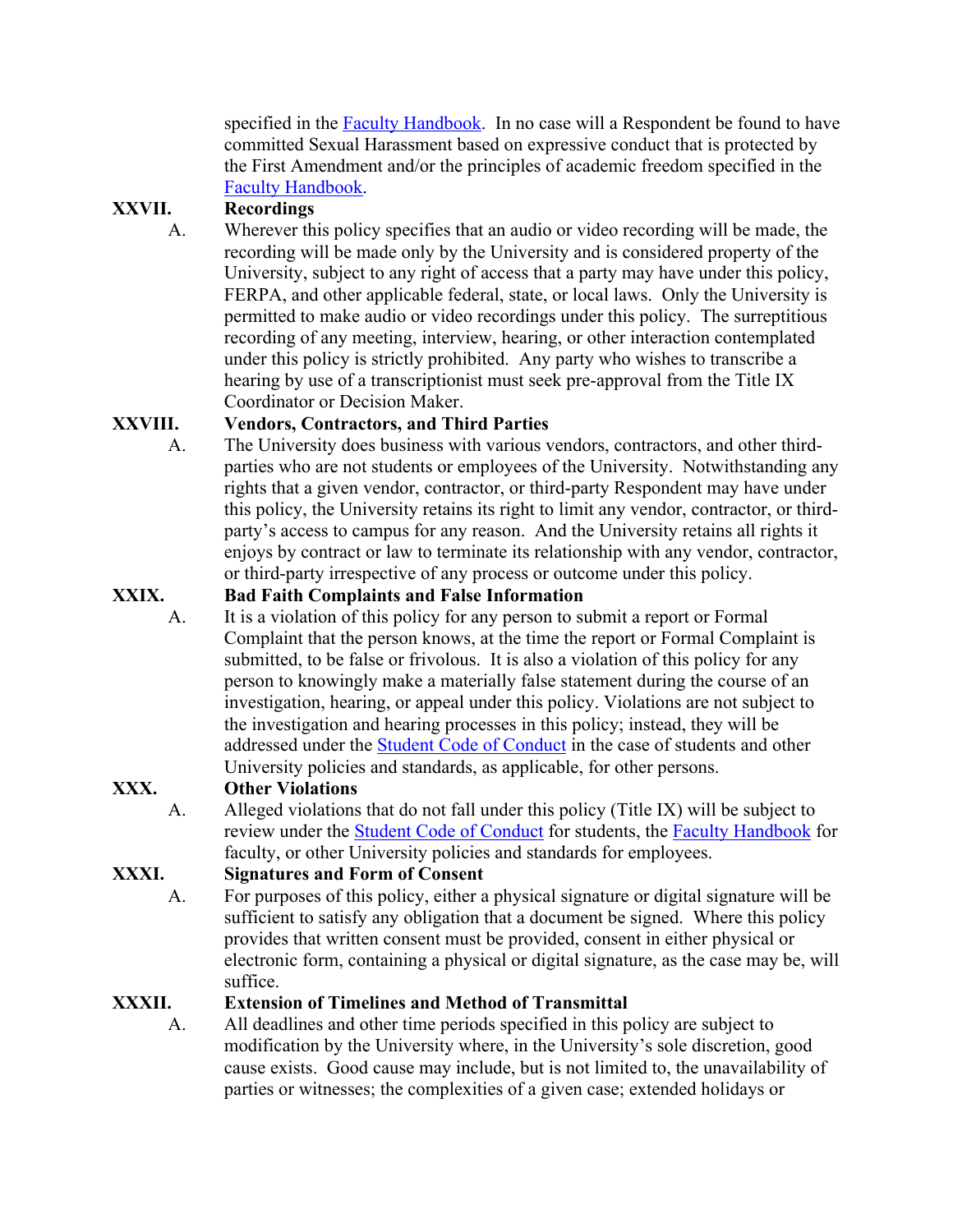specified in the Faculty Handbook. In no case will a Respondent be found to have committed Sexual Harassment based on expressive conduct that is protected by the First Amendment and/or the principles of academic freedom specified in the Faculty Handbook.

# **XXVII. Recordings**

A. Wherever this policy specifies that an audio or video recording will be made, the recording will be made only by the University and is considered property of the University, subject to any right of access that a party may have under this policy, FERPA, and other applicable federal, state, or local laws. Only the University is permitted to make audio or video recordings under this policy. The surreptitious recording of any meeting, interview, hearing, or other interaction contemplated under this policy is strictly prohibited. Any party who wishes to transcribe a hearing by use of a transcriptionist must seek pre-approval from the Title IX Coordinator or Decision Maker.

# **XXVIII. Vendors, Contractors, and Third Parties**

A. The University does business with various vendors, contractors, and other thirdparties who are not students or employees of the University. Notwithstanding any rights that a given vendor, contractor, or third-party Respondent may have under this policy, the University retains its right to limit any vendor, contractor, or thirdparty's access to campus for any reason. And the University retains all rights it enjoys by contract or law to terminate its relationship with any vendor, contractor, or third-party irrespective of any process or outcome under this policy.

# **XXIX. Bad Faith Complaints and False Information**

A. It is a violation of this policy for any person to submit a report or Formal Complaint that the person knows, at the time the report or Formal Complaint is submitted, to be false or frivolous. It is also a violation of this policy for any person to knowingly make a materially false statement during the course of an investigation, hearing, or appeal under this policy. Violations are not subject to the investigation and hearing processes in this policy; instead, they will be addressed under the Student Code of Conduct in the case of students and other University policies and standards, as applicable, for other persons.

# **XXX. Other Violations**

A. Alleged violations that do not fall under this policy (Title IX) will be subject to review under the Student Code of Conduct for students, the Faculty Handbook for faculty, or other University policies and standards for employees.

# **XXXI. Signatures and Form of Consent**

A. For purposes of this policy, either a physical signature or digital signature will be sufficient to satisfy any obligation that a document be signed. Where this policy provides that written consent must be provided, consent in either physical or electronic form, containing a physical or digital signature, as the case may be, will suffice.

# **XXXII. Extension of Timelines and Method of Transmittal**

A. All deadlines and other time periods specified in this policy are subject to modification by the University where, in the University's sole discretion, good cause exists. Good cause may include, but is not limited to, the unavailability of parties or witnesses; the complexities of a given case; extended holidays or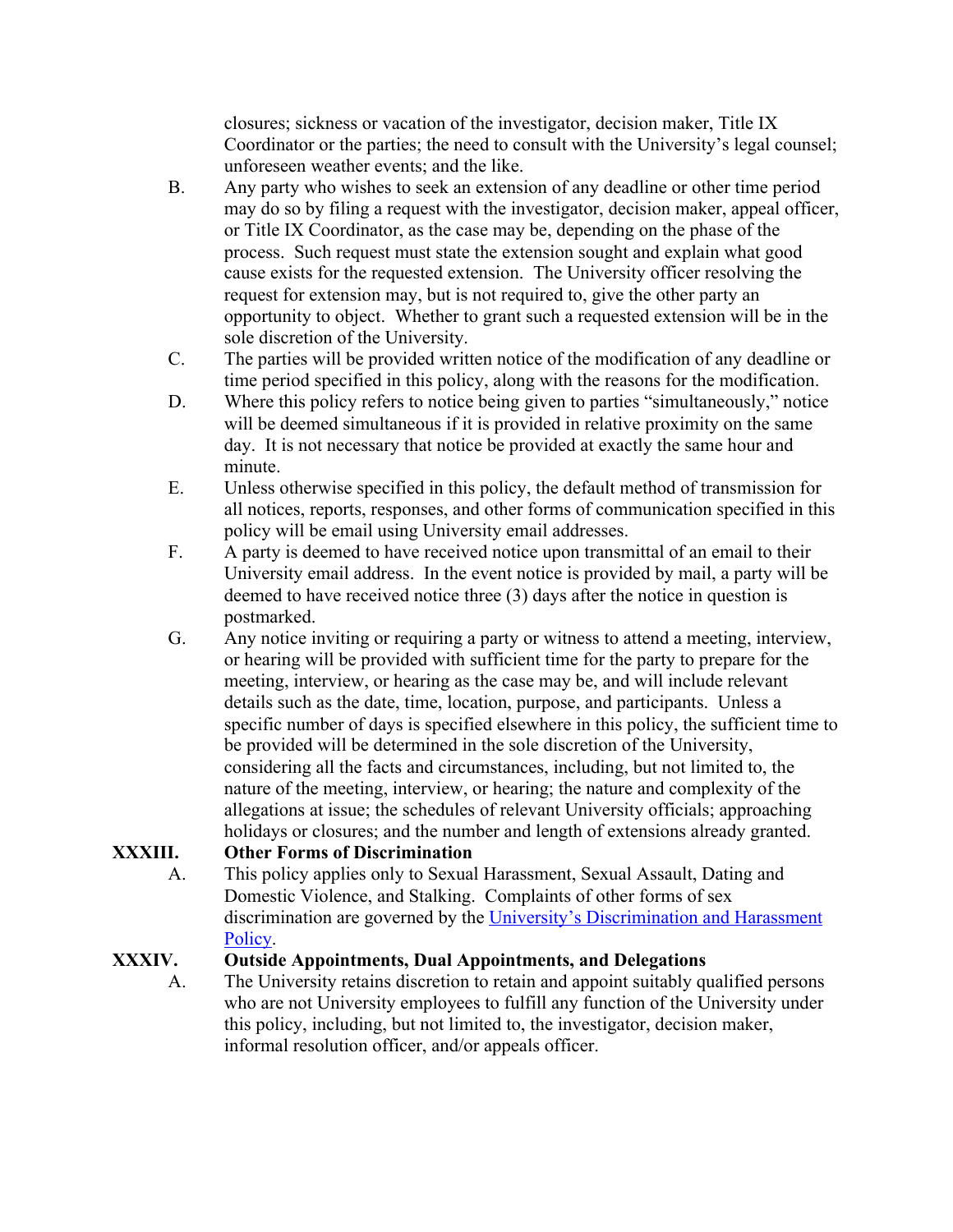closures; sickness or vacation of the investigator, decision maker, Title IX Coordinator or the parties; the need to consult with the University's legal counsel; unforeseen weather events; and the like.

- B. Any party who wishes to seek an extension of any deadline or other time period may do so by filing a request with the investigator, decision maker, appeal officer, or Title IX Coordinator, as the case may be, depending on the phase of the process. Such request must state the extension sought and explain what good cause exists for the requested extension. The University officer resolving the request for extension may, but is not required to, give the other party an opportunity to object. Whether to grant such a requested extension will be in the sole discretion of the University.
- C. The parties will be provided written notice of the modification of any deadline or time period specified in this policy, along with the reasons for the modification.
- D. Where this policy refers to notice being given to parties "simultaneously," notice will be deemed simultaneous if it is provided in relative proximity on the same day. It is not necessary that notice be provided at exactly the same hour and minute.
- E. Unless otherwise specified in this policy, the default method of transmission for all notices, reports, responses, and other forms of communication specified in this policy will be email using University email addresses.
- F. A party is deemed to have received notice upon transmittal of an email to their University email address. In the event notice is provided by mail, a party will be deemed to have received notice three (3) days after the notice in question is postmarked.
- G. Any notice inviting or requiring a party or witness to attend a meeting, interview, or hearing will be provided with sufficient time for the party to prepare for the meeting, interview, or hearing as the case may be, and will include relevant details such as the date, time, location, purpose, and participants. Unless a specific number of days is specified elsewhere in this policy, the sufficient time to be provided will be determined in the sole discretion of the University, considering all the facts and circumstances, including, but not limited to, the nature of the meeting, interview, or hearing; the nature and complexity of the allegations at issue; the schedules of relevant University officials; approaching holidays or closures; and the number and length of extensions already granted.

# **XXXIII. Other Forms of Discrimination**

A. This policy applies only to Sexual Harassment, Sexual Assault, Dating and Domestic Violence, and Stalking. Complaints of other forms of sex discrimination are governed by the University's Discrimination and Harassment Policy.

# **XXXIV. Outside Appointments, Dual Appointments, and Delegations**

A. The University retains discretion to retain and appoint suitably qualified persons who are not University employees to fulfill any function of the University under this policy, including, but not limited to, the investigator, decision maker, informal resolution officer, and/or appeals officer.